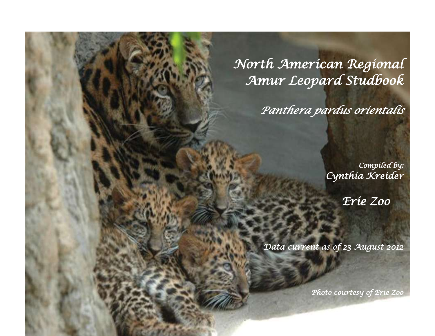*North American Regional Amur Leopard Studbook* 

*Panthera pardus orientalis*

*Compiled by: Cynthia Kreider* 

g R

s

ä J

*Erie Zoo*

*Data current as of 23 August 2012* 

Amur Leopard Studies Publication 2012

*Photo courtesy of Erie Zoo*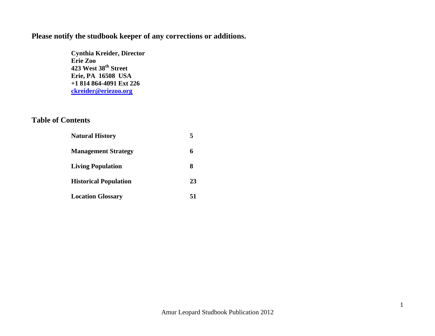### **Please notify the studbook keeper of any corrections or additions.**

**Cynthia Kreider, Director Erie Zoo 423 West 38th Street Erie, PA 16508 USA +1 814 864-4091 Ext 226 [ckreider@eriezoo.org](mailto:ckreider@eriezoo.org)**

#### **Table of Contents**

| <b>Natural History</b>       |    |
|------------------------------|----|
| <b>Management Strategy</b>   |    |
| <b>Living Population</b>     |    |
| <b>Historical Population</b> | 23 |
| <b>Location Glossary</b>     |    |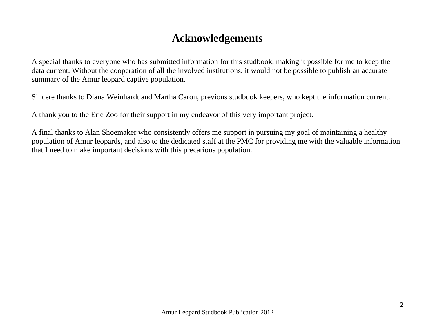# **Acknowledgements**

A special thanks to everyone who has submitted information for this studbook, making it possible for me to keep the data current. Without the cooperation of all the involved institutions, it would not be possible to publish an accurate summary of the Amur leopard captive population.

Sincere thanks to Diana Weinhardt and Martha Caron, previous studbook keepers, who kept the information current.

A thank you to the Erie Zoo for their support in my endeavor of this very important project.

A final thanks to Alan Shoemaker who consistently offers me support in pursuing my goal of maintaining a healthy population of Amur leopards, and also to the dedicated staff at the PMC for providing me with the valuable information that I need to make important decisions with this precarious population.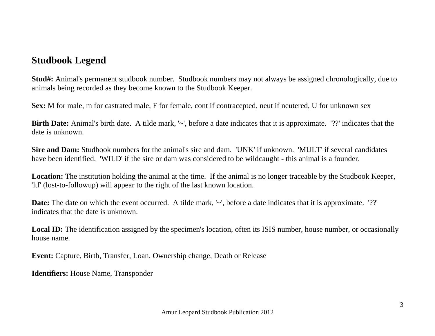## **Studbook Legend**

**Stud#:** Animal's permanent studbook number. Studbook numbers may not always be assigned chronologically, due to animals being recorded as they become known to the Studbook Keeper.

**Sex:** M for male, m for castrated male, F for female, cont if contracepted, neut if neutered, U for unknown sex

**Birth Date:** Animal's birth date. A tilde mark, '~', before a date indicates that it is approximate. '??' indicates that the date is unknown.

**Sire and Dam:** Studbook numbers for the animal's sire and dam. 'UNK' if unknown. 'MULT' if several candidates have been identified. 'WILD' if the sire or dam was considered to be wildcaught - this animal is a founder.

**Location:** The institution holding the animal at the time. If the animal is no longer traceable by the Studbook Keeper, 'ltf' (lost-to-followup) will appear to the right of the last known location.

**Date:** The date on which the event occurred. A tilde mark, '~', before a date indicates that it is approximate. '??' indicates that the date is unknown.

Local ID: The identification assigned by the specimen's location, often its ISIS number, house number, or occasionally house name.

**Event:** Capture, Birth, Transfer, Loan, Ownership change, Death or Release

**Identifiers:** House Name, Transponder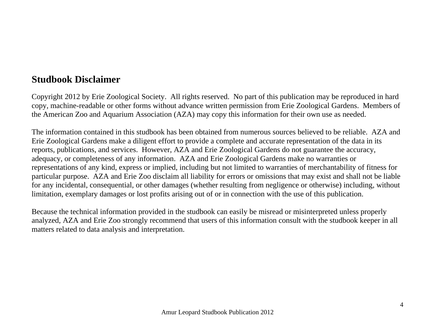## **Studbook Disclaimer**

Copyright 2012 by Erie Zoological Society. All rights reserved. No part of this publication may be reproduced in hard copy, machine-readable or other forms without advance written permission from Erie Zoological Gardens. Members of the American Zoo and Aquarium Association (AZA) may copy this information for their own use as needed.

The information contained in this studbook has been obtained from numerous sources believed to be reliable. AZA and Erie Zoological Gardens make a diligent effort to provide a complete and accurate representation of the data in its reports, publications, and services. However, AZA and Erie Zoological Gardens do not guarantee the accuracy, adequacy, or completeness of any information. AZA and Erie Zoological Gardens make no warranties or representations of any kind, express or implied, including but not limited to warranties of merchantability of fitness for particular purpose. AZA and Erie Zoo disclaim all liability for errors or omissions that may exist and shall not be liable for any incidental, consequential, or other damages (whether resulting from negligence or otherwise) including, without limitation, exemplary damages or lost profits arising out of or in connection with the use of this publication.

Because the technical information provided in the studbook can easily be misread or misinterpreted unless properly analyzed, AZA and Erie Zoo strongly recommend that users of this information consult with the studbook keeper in all matters related to data analysis and interpretation.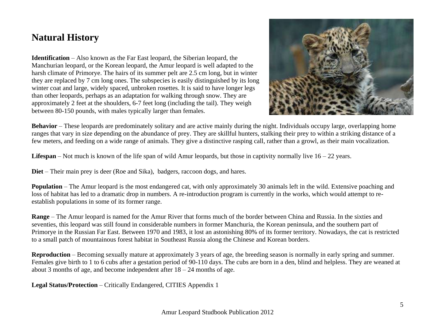# **Natural History**

**Identification** – Also known as the Far East leopard, the Siberian leopard, the Manchurian leopard, or the Korean leopard, the Amur leopard is well adapted to the harsh climate of Primorye. The hairs of its summer pelt are 2.5 cm long, but in winter they are replaced by 7 cm long ones. The subspecies is easily distinguished by its long winter coat and large, widely spaced, unbroken rosettes. It is said to have longer legs than other leopards, perhaps as an adaptation for walking through snow. They are approximately 2 feet at the shoulders, 6-7 feet long (including the tail). They weigh between 80-150 pounds, with males typically larger than females.



**Behavior** – These leopards are predominately solitary and are active mainly during the night. Individuals occupy large, overlapping home ranges that vary in size depending on the abundance of prey. They are skillful hunters, stalking their prey to within a striking distance of a few meters, and feeding on a wide range of animals. They give a distinctive rasping call, rather than a growl, as their main vocalization.

**Lifespan** – Not much is known of the life span of wild Amur leopards, but those in captivity normally live  $16 - 22$  years.

**Diet** – Their main prey is deer (Roe and Sika), badgers, raccoon dogs, and hares.

**Population** – The Amur leopard is the most endangered cat, with only approximately 30 animals left in the wild. Extensive poaching and loss of habitat has led to a dramatic drop in numbers. A re-introduction program is currently in the works, which would attempt to reestablish populations in some of its former range.

**Range** – The Amur leopard is named for the Amur River that forms much of the border between China and Russia. In the sixties and seventies, this leopard was still found in considerable numbers in former Manchuria, the Korean peninsula, and the southern part of Primorye in the Russian Far East. Between 1970 and 1983, it lost an astonishing 80% of its former territory. Nowadays, the cat is restricted to a small patch of mountainous forest habitat in Southeast Russia along the Chinese and Korean borders.

**Reproduction** – Becoming sexually mature at approximately 3 years of age, the breeding season is normally in early spring and summer. Females give birth to 1 to 6 cubs after a gestation period of 90-110 days. The cubs are born in a den, blind and helpless. They are weaned at about 3 months of age, and become independent after  $18 - 24$  months of age.

**Legal Status/Protection** – Critically Endangered, CITIES Appendix 1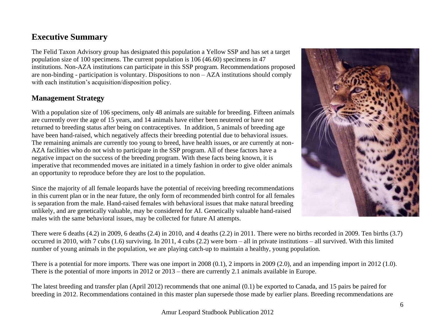#### **Executive Summary**

The Felid Taxon Advisory group has designated this population a Yellow SSP and has set a target population size of 100 specimens. The current population is 106 (46.60) specimens in 47 institutions. Non-AZA institutions can participate in this SSP program. Recommendations proposed are non-binding - participation is voluntary. Dispositions to non – AZA institutions should comply with each institution's acquisition/disposition policy.

#### **Management Strategy**

With a population size of 106 specimens, only 48 animals are suitable for breeding. Fifteen animals are currently over the age of 15 years, and 14 animals have either been neutered or have not returned to breeding status after being on contraceptives. In addition, 5 animals of breeding age have been hand-raised, which negatively affects their breeding potential due to behavioral issues. The remaining animals are currently too young to breed, have health issues, or are currently at non-AZA facilities who do not wish to participate in the SSP program. All of these factors have a negative impact on the success of the breeding program. With these facts being known, it is imperative that recommended moves are initiated in a timely fashion in order to give older animals an opportunity to reproduce before they are lost to the population.

Since the majority of all female leopards have the potential of receiving breeding recommendations in this current plan or in the near future, the only form of recommended birth control for all females is separation from the male. Hand-raised females with behavioral issues that make natural breeding unlikely, and are genetically valuable, may be considered for AI. Genetically valuable hand-raised males with the same behavioral issues, may be collected for future AI attempts.



There were 6 deaths (4.2) in 2009, 6 deaths (2.4) in 2010, and 4 deaths (2.2) in 2011. There were no births recorded in 2009. Ten births (3.7) occurred in 2010, with 7 cubs (1.6) surviving. In 2011, 4 cubs (2.2) were born – all in private institutions – all survived. With this limited number of young animals in the population, we are playing catch-up to maintain a healthy, young population.

There is a potential for more imports. There was one import in 2008 (0.1), 2 imports in 2009 (2.0), and an impending import in 2012 (1.0). There is the potential of more imports in 2012 or 2013 – there are currently 2.1 animals available in Europe.

The latest breeding and transfer plan (April 2012) recommends that one animal (0.1) be exported to Canada, and 15 pairs be paired for breeding in 2012. Recommendations contained in this master plan supersede those made by earlier plans. Breeding recommendations are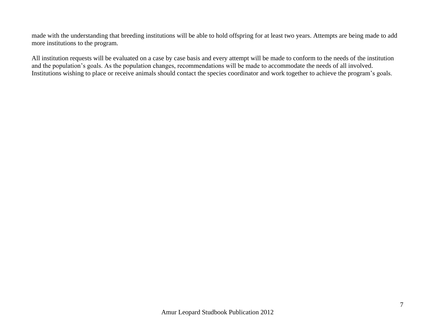made with the understanding that breeding institutions will be able to hold offspring for at least two years. Attempts are being made to add more institutions to the program.

All institution requests will be evaluated on a case by case basis and every attempt will be made to conform to the needs of the institution and the population's goals. As the population changes, recommendations will be made to accommodate the needs of all involved. Institutions wishing to place or receive animals should contact the species coordinator and work together to achieve the program's goals.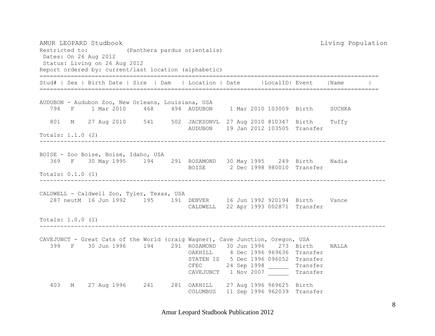AMUR LEOPARD Studbook Living Population Restricted to: (Panthera pardus orientalis) Dates: On 26 Aug 2012 Status: Living on 26 Aug 2012 Report ordered by: current/last location (alphabetic) ================================================================================================== Stud# | Sex | Birth Date | Sire | Dam | Location | Date | | LocalID| Event | Name ================================================================================================== AUDUBON - Audubon Zoo, New Orleans, Louisiana, USA 794 F 1 Mar 2010 468 494 AUDUBON 1 Mar 2010 103009 Birth SUCHKA 801 M 27 Aug 2010 541 502 JACKSONVL 27 Aug 2010 810347 Birth Tuffy AUDUBON 19 Jan 2012 103505 Transfer Totals: 1.1.0 (2) ---------------------------------------------------------------------------------------------------- BOISE - Zoo Boise, Boise, Idaho, USA 369 F 30 May 1995 194 291 ROSAMOND 30 May 1995 249 Birth Nadia BOISE 2 Dec 1998 980010 Transfer Totals: 0.1.0 (1) ---------------------------------------------------------------------------------------------------- CALDWELL - Caldwell Zoo, Tyler, Texas, USA 287 neutM 16 Jun 1992 195 191 DENVER 16 Jun 1992 920194 Birth Vance CALDWELL 22 Apr 1993 002871 Transfer Totals: 1.0.0 (1) ---------------------------------------------------------------------------------------------------- CAVEJUNCT - Great Cats of the World (craig Wagner), Cave Junction, Oregon, USA 399 F 30 Jun 1996 194 291 ROSAMOND 30 Jun 1996 273 Birth NALLA OAKHILL 4 Dec 1996 969636 Transfer STATEN IS 5 Dec 1996 096052 Transfer CFEC 24 Sep 1998 Transfer CAVEJUNCT 1 Nov 2007 Transfer 403 M 27 Aug 1996 241 281 OAKHILL 27 Aug 1996 969625 Birth COLUMBUS 11 Sep 1996 962039 Transfer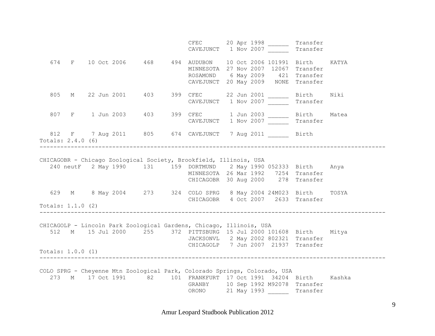|                          |  |  | CFEC 20 Apr 1998 Transfer<br>CAVEJUNCT 1 Nov 2007 Transfer                                                                                                                                                                  |  |  |  |
|--------------------------|--|--|-----------------------------------------------------------------------------------------------------------------------------------------------------------------------------------------------------------------------------|--|--|--|
|                          |  |  | 674 F 10 Oct 2006 468 494 AUDUBON 10 Oct 2006 101991 Birth KATYA<br>MINNESOTA 27 Nov 2007 12067 Transfer<br>ROSAMOND 6 May 2009 421 Transfer<br>CAVEJUNCT 20 May 2009 NONE Transfer                                         |  |  |  |
|                          |  |  | 805 M 22 Jun 2001 403 399 CFEC 22 Jun 2001 _______ Birth Niki<br>CAVEJUNCT 1 Nov 2007 _______ Transfer                                                                                                                      |  |  |  |
|                          |  |  | 807 F 1 Jun 2003 403 399 CFEC 1 Jun 2003 10 Birth Matea<br>CAVEJUNCT 1 Nov 2007 1 Transfer                                                                                                                                  |  |  |  |
| Totals: $2.4.0$ (6)      |  |  | 812 F 7 Aug 2011 805 674 CAVEJUNCT 7 Aug 2011 Birth                                                                                                                                                                         |  |  |  |
|                          |  |  |                                                                                                                                                                                                                             |  |  |  |
|                          |  |  | CHICAGOBR - Chicago Zoological Society, Brookfield, Illinois, USA<br>240 neutF 2 May 1990 131 159 DORTMUND 2 May 1990 052333 Birth Anya<br>MINNESOTA 26 Mar 1992 7254 Transfer<br>CHICAGOBR 30 Aug 2000 278 Transfer        |  |  |  |
|                          |  |  | 629 M 8 May 2004 273 324 COLO SPRG 8 May 2004 24M023 Birth TOSYA<br>CHICAGOBR 4 Oct 2007 2633 Transfer                                                                                                                      |  |  |  |
| Totals: $1.1.0$ (2)      |  |  |                                                                                                                                                                                                                             |  |  |  |
| 512<br>Totals: 1.0.0 (1) |  |  | CHICAGOLP - Lincoln Park Zoological Gardens, Chicago, Illinois, USA<br>M 15 Jul 2000 255 372 PITTSBURG 15 Jul 2000 101608 Birth Mitya<br>JACKSONVL 2 May 2002 802321 Transfer<br>CHICAGOLP 7 Jun 2007 21937 Transfer        |  |  |  |
|                          |  |  | COLO SPRG - Cheyenne Mtn Zoological Park, Colorado Springs, Colorado, USA<br>273 M 17 Oct 1991 82 101 FRANKFURT 17 Oct 1991 34204 Birth Kashka<br>GRANBY 10 Sep 1992 M92078 Transfer<br>ORONO 21 May 1993 ________ Transfer |  |  |  |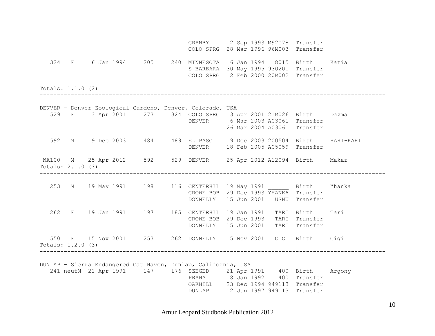GRANBY 2 Sep 1993 M92078 Transfer COLO SPRG 28 Mar 1996 96M003 Transfer 324 F 6 Jan 1994 205 240 MINNESOTA 6 Jan 1994 8015 Birth Katia S BARBARA 30 May 1995 930201 Transfer COLO SPRG 2 Feb 2000 20M002 Transfer Totals: 1.1.0 (2) ---------------------------------------------------------------------------------------------------- DENVER - Denver Zoological Gardens, Denver, Colorado, USA 529 F 3 Apr 2001 273 324 COLO SPRG 3 Apr 2001 21M026 Birth Dazma DENVER 6 Mar 2003 A03061 Transfer 26 Mar 2004 A03061 Transfer 592 M 9 Dec 2003 484 489 EL PASO 9 Dec 2003 200504 Birth HARI-KARI DENVER 18 Feb 2005 A05059 Transfer NA100 M 25 Apr 2012 592 529 DENVER 25 Apr 2012 A12094 Birth Makar Totals: 2.1.0 (3) ---------------------------------------------------------------------------------------------------- 253 M 19 May 1991 198 116 CENTERHIL 19 May 1991 Birth Yhanka CROWE BOB 29 Dec 1993 YHANKA Transfer DONNELLY 15 Jun 2001 USHU Transfer 262 F 19 Jan 1991 197 185 CENTERHIL 19 Jan 1991 TARI Birth Tari CROWE BOB 29 Dec 1993 TARI Transfer DONNELLY 15 Jun 2001 TARI Transfer 550 F 15 Nov 2001 253 262 DONNELLY 15 Nov 2001 GIGI Birth Gigi Totals: 1.2.0 (3) ---------------------------------------------------------------------------------------------------- DUNLAP - Sierra Endangered Cat Haven, Dunlap, California, USA 241 neutM 21 Apr 1991 147 176 SZEGED 21 Apr 1991 400 Birth Argony PRAHA 8 Jan 1992 400 Transfer OAKHILL 23 Dec 1994 949113 Transfer DUNLAP 12 Jun 1997 949113 Transfer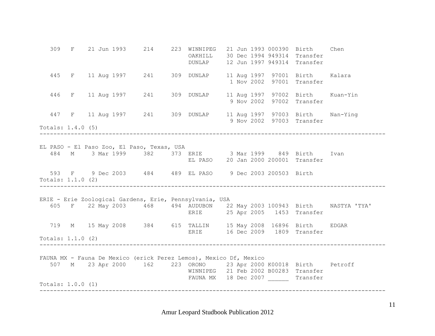309 F 21 Jun 1993 214 223 WINNIPEG 21 Jun 1993 000390 Birth Chen OAKHILL 30 Dec 1994 949314 Transfer DUNLAP 12 Jun 1997 949314 Transfer 445 F 11 Aug 1997 241 309 DUNLAP 11 Aug 1997 97001 Birth Kalara 1 Nov 2002 97001 Transfer 446 F 11 Aug 1997 241 309 DUNLAP 11 Aug 1997 97002 Birth Kuan-Yin 9 Nov 2002 97002 Transfer 447 F 11 Aug 1997 241 309 DUNLAP 11 Aug 1997 97003 Birth Nan-Ying 9 Nov 2002 97003 Transfer Totals: 1.4.0 (5) ---------------------------------------------------------------------------------------------------- EL PASO - El Paso Zoo, El Paso, Texas, USA 484 M 3 Mar 1999 382 373 ERIE 3 Mar 1999 849 Birth Ivan EL PASO 20 Jan 2000 200001 Transfer 593 F 9 Dec 2003 484 489 EL PASO 9 Dec 2003 200503 Birth Totals: 1.1.0 (2) ---------------------------------------------------------------------------------------------------- ERIE - Erie Zoological Gardens, Erie, Pennsylvania, USA 605 F 22 May 2003 468 494 AUDUBON 22 May 2003 100943 Birth NASTYA 'TYA' ERIE 25 Apr 2005 1453 Transfer 719 M 15 May 2008 384 615 TALLIN 15 May 2008 16896 Birth EDGAR ERIE 16 Dec 2009 1809 Transfer Totals: 1.1.0 (2) ---------------------------------------------------------------------------------------------------- FAUNA MX - Fauna De Mexico (erick Perez Lemos), Mexico Df, Mexico 507 M 23 Apr 2000 162 223 ORONO 23 Apr 2000 K00018 Birth Petroff WINNIPEG 21 Feb 2002 B00283 Transfer FAUNA MX 18 Dec 2007 Transfer Totals: 1.0.0 (1) ----------------------------------------------------------------------------------------------------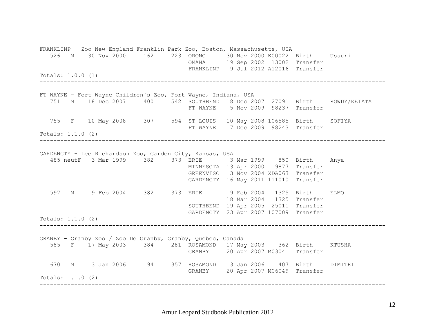FRANKLINP - Zoo New England Franklin Park Zoo, Boston, Massachusetts, USA 526 M 30 Nov 2000 162 223 ORONO 30 Nov 2000 K00022 Birth Ussuri OMAHA 19 Sep 2002 13002 Transfer FRANKLINP 9 Jul 2012 A12016 Transfer Totals: 1.0.0 (1) ---------------------------------------------------------------------------------------------------- FT WAYNE - Fort Wayne Children's Zoo, Fort Wayne, Indiana, USA 751 M 18 Dec 2007 400 542 SOUTHBEND 18 Dec 2007 27091 Birth ROWDY/KEIATA FT WAYNE 5 Nov 2009 98237 Transfer 755 F 10 May 2008 307 594 ST LOUIS 10 May 2008 106585 Birth SOFIYA FT WAYNE 7 Dec 2009 98243 Transfer Totals: 1.1.0 (2) ---------------------------------------------------------------------------------------------------- GARDENCTY - Lee Richardson Zoo, Garden City, Kansas, USA 485 neutF 3 Mar 1999 382 373 ERIE 3 Mar 1999 850 Birth Anya MINNESOTA 13 Apr 2000 9877 Transfer GREENVISC 3 Nov 2004 XDA063 Transfer GARDENCTY 16 May 2011 111010 Transfer 597 M 9 Feb 2004 382 373 ERIE 9 Feb 2004 1325 Birth ELMO 18 Mar 2004 1325 Transfer SOUTHBEND 19 Apr 2005 25011 Transfer GARDENCTY 23 Apr 2007 107009 Transfer Totals: 1.1.0 (2) ---------------------------------------------------------------------------------------------------- GRANBY - Granby Zoo / Zoo De Granby, Granby, Quebec, Canada 585 F 17 May 2003 384 281 ROSAMOND 17 May 2003 362 Birth KTUSHA GRANBY 20 Apr 2007 M03041 Transfer 670 M 3 Jan 2006 194 357 ROSAMOND 3 Jan 2006 407 Birth DIMITRI GRANBY 20 Apr 2007 M06049 Transfer Totals: 1.1.0 (2) ----------------------------------------------------------------------------------------------------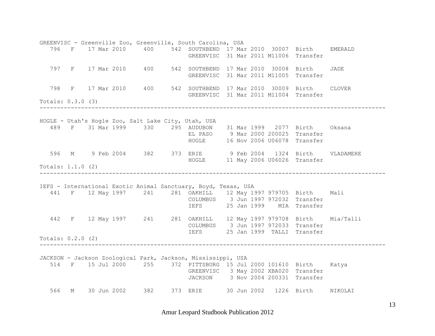GREENVISC - Greenville Zoo, Greenville, South Carolina, USA 796 F 17 Mar 2010 400 542 SOUTHBEND 17 Mar 2010 30007 Birth EMERALD GREENVISC 31 Mar 2011 M11006 Transfer 797 F 17 Mar 2010 400 542 SOUTHBEND 17 Mar 2010 30008 Birth JADE GREENVISC 31 Mar 2011 M11005 Transfer 798 F 17 Mar 2010 400 542 SOUTHBEND 17 Mar 2010 30009 Birth CLOVER GREENVISC 31 Mar 2011 M11004 Transfer Totals: 0.3.0 (3) ---------------------------------------------------------------------------------------------------- HOGLE - Utah's Hogle Zoo, Salt Lake City, Utah, USA 489 F 31 Mar 1999 330 295 AUDUBON 31 Mar 1999 2077 Birth Oksana EL PASO 9 Mar 2000 200025 Transfer HOGLE 16 Nov 2006 U06078 Transfer 596 M 9 Feb 2004 382 373 ERIE 9 Feb 2004 1324 Birth VLADAMERE HOGLE 11 May 2006 U06026 Transfer Totals: 1.1.0 (2) ---------------------------------------------------------------------------------------------------- IEFS - International Exotic Animal Sanctuary, Boyd, Texas, USA 441 F 12 May 1997 241 281 OAKHILL 12 May 1997 979705 Birth Mali COLUMBUS 3 Jun 1997 972032 Transfer IEFS 25 Jan 1999 MIA Transfer 442 F 12 May 1997 241 281 OAKHILL 12 May 1997 979708 Birth Mia/Talli COLUMBUS 3 Jun 1997 972033 Transfer IEFS 25 Jan 1999 TALLI Transfer Totals: 0.2.0 (2) ---------------------------------------------------------------------------------------------------- JACKSON - Jackson Zoological Park, Jackson, Mississippi, USA 514 F 15 Jul 2000 255 372 PITTSBURG 15 Jul 2000 101610 Birth Katya GREENVISC 3 May 2002 XBA020 Transfer JACKSON 3 Nov 2004 200331 Transfer 566 M 30 Jun 2002 382 373 ERIE 30 Jun 2002 1226 Birth NIKOLAI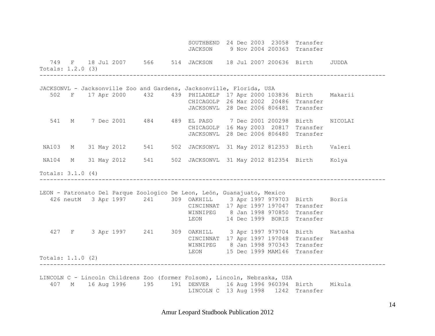|                     |  |  | SOUTHBEND 24 Dec 2003 23058 Transfer<br>JACKSON 9 Nov 2004 200363 Transfer                                                                                                                                                                                       |  |  |  |
|---------------------|--|--|------------------------------------------------------------------------------------------------------------------------------------------------------------------------------------------------------------------------------------------------------------------|--|--|--|
| Totals: 1.2.0 (3)   |  |  | 749 F 18 Jul 2007 566 514 JACKSON 18 Jul 2007 200636 Birth JUDDA                                                                                                                                                                                                 |  |  |  |
|                     |  |  | JACKSONVL - Jacksonville Zoo and Gardens, Jacksonville, Florida, USA                                                                                                                                                                                             |  |  |  |
|                     |  |  | 502 F 17 Apr 2000 432 439 PHILADELP 17 Apr 2000 103836 Birth Makarii<br>CHICAGOLP 26 Mar 2002 20486 Transfer<br>JACKSONVL 28 Dec 2006 806481 Transfer                                                                                                            |  |  |  |
|                     |  |  | 541 M 7 Dec 2001 484 489 EL PASO 7 Dec 2001 200298 Birth NICOLAI<br>CHICAGOLP 16 May 2003 20817 Transfer<br>JACKSONVL 28 Dec 2006 806480 Transfer                                                                                                                |  |  |  |
|                     |  |  | NA103 M 31 May 2012 541 502 JACKSONVL 31 May 2012 812353 Birth Valeri                                                                                                                                                                                            |  |  |  |
|                     |  |  | NA104 M 31 May 2012 541 502 JACKSONVL 31 May 2012 812354 Birth Kolya                                                                                                                                                                                             |  |  |  |
| Totals: $3.1.0$ (4) |  |  |                                                                                                                                                                                                                                                                  |  |  |  |
|                     |  |  | LEON - Patronato Del Parque Zoologico De Leon, León, Guanajuato, Mexico<br>426 neutM 3 Apr 1997 241 309 OAKHILL 3 Apr 1997 979703 Birth Boris<br>CINCINNAT 17 Apr 1997 197047 Transfer<br>WINNIPEG 8 Jan 1998 970850 Transfer<br>LEON 14 Dec 1999 BORIS Transfer |  |  |  |
|                     |  |  | 427 F 3 Apr 1997 241 309 OAKHILL 3 Apr 1997 979704 Birth Natasha<br>CINCINNAT 17 Apr 1997 197048 Transfer<br>WINNIPEG 8 Jan 1998 970343 Transfer<br>LEON 15 Dec 1999 MAM146 Transfer                                                                             |  |  |  |
| Totals: 1.1.0 (2)   |  |  |                                                                                                                                                                                                                                                                  |  |  |  |
|                     |  |  | LINCOLN C - Lincoln Childrens Zoo (former Folsom), Lincoln, Nebraska, USA<br>407 M 16 Aug 1996 195 191 DENVER 16 Aug 1996 960394 Birth Mikula<br>LINCOLN C 13 Aug 1998 1242 Transfer                                                                             |  |  |  |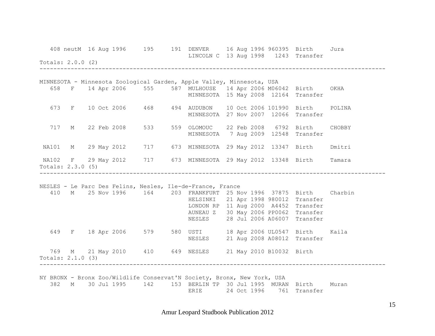|                     |  |  |  | 408 neutM 16 Aug 1996   195   191   DENVER   16 Aug 1996   960395   Birth   Jura<br>LINCOLN C 13 Aug 1998 1243 Transfer                                                                                                                                                                                                                                                                                                                                             |  |  |        |
|---------------------|--|--|--|---------------------------------------------------------------------------------------------------------------------------------------------------------------------------------------------------------------------------------------------------------------------------------------------------------------------------------------------------------------------------------------------------------------------------------------------------------------------|--|--|--------|
| Totals: 2.0.0 (2)   |  |  |  |                                                                                                                                                                                                                                                                                                                                                                                                                                                                     |  |  |        |
|                     |  |  |  |                                                                                                                                                                                                                                                                                                                                                                                                                                                                     |  |  |        |
|                     |  |  |  | MINNESOTA - Minnesota Zoological Garden, Apple Valley, Minnesota, USA<br>658 F 14 Apr 2006 555 587 MULHOUSE 14 Apr 2006 M06042 Birth OKHA<br>MINNESOTA 15 May 2008 12164 Transfer                                                                                                                                                                                                                                                                                   |  |  |        |
|                     |  |  |  | 673 F 10 Oct 2006 468 494 AUDUBON 10 Oct 2006 101990 Birth<br>MINNESOTA 27 Nov 2007 12066 Transfer                                                                                                                                                                                                                                                                                                                                                                  |  |  | POLINA |
|                     |  |  |  | 717 M 22 Feb 2008 533 559 OLOMOUC 22 Feb 2008 6792 Birth CHOBBY<br>MINNESOTA 7 Aug 2009 12548 Transfer                                                                                                                                                                                                                                                                                                                                                              |  |  |        |
|                     |  |  |  | NA101 M 29 May 2012 717 673 MINNESOTA 29 May 2012 13347 Birth Dmitri                                                                                                                                                                                                                                                                                                                                                                                                |  |  |        |
| Totals: 2.3.0 (5)   |  |  |  | NA102 F 29 May 2012 717 673 MINNESOTA 29 May 2012 13348 Birth Tamara                                                                                                                                                                                                                                                                                                                                                                                                |  |  |        |
|                     |  |  |  | NESLES - Le Parc Des Felins, Nesles, Ile-de-France, France<br>410 M 25 Nov 1996 164 203 FRANKFURT 25 Nov 1996 37875 Birth Charbin<br>HELSINKI 21 Apr 1998 980012 Transfer<br>LONDON RP 11 Aug 2000 A4452 Transfer<br>AUNEAU Z 30 May 2006 PP0062 Transfer<br>NESLES 28 Jul 2006 A06007 Transfer<br>649 F 18 Apr 2006 579 580 USTI 18 Apr 2006 UL0547 Birth Kaila<br>NESLES 21 Aug 2008 A08012 Transfer<br>769 M 21 May 2010 410 649 NESLES 21 May 2010 B10032 Birth |  |  |        |
| Totals: $2.1.0$ (3) |  |  |  |                                                                                                                                                                                                                                                                                                                                                                                                                                                                     |  |  |        |
| 382                 |  |  |  | NY BRONX - Bronx Zoo/Wildlife Conservat'N Society, Bronx, New York, USA<br>M 30 Jul 1995 142 153 BERLIN TP 30 Jul 1995 MURAN Birth Muran<br>ERIE 24 Oct 1996 761 Transfer                                                                                                                                                                                                                                                                                           |  |  |        |

Amur Leopard Studbook Publication 2012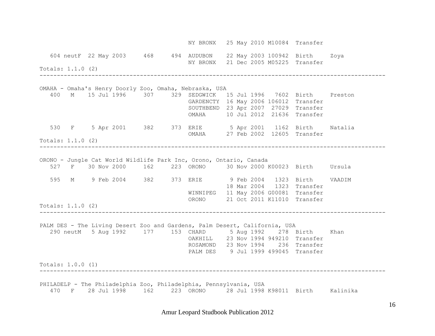NY BRONX 25 May 2010 M10084 Transfer 604 neutF 22 May 2003 468 494 AUDUBON 22 May 2003 100942 Birth Zoya NY BRONX 21 Dec 2005 M05225 Transfer Totals: 1.1.0 (2) ---------------------------------------------------------------------------------------------------- OMAHA - Omaha's Henry Doorly Zoo, Omaha, Nebraska, USA 400 M 15 Jul 1996 307 329 SEDGWICK 15 Jul 1996 7602 Birth Preston GARDENCTY 16 May 2006 106012 Transfer SOUTHBEND 23 Apr 2007 27029 Transfer OMAHA 10 Jul 2012 21636 Transfer 530 F 5 Apr 2001 382 373 ERIE 5 Apr 2001 1162 Birth Natalia OMAHA 27 Feb 2002 12605 Transfer Totals: 1.1.0 (2) ---------------------------------------------------------------------------------------------------- ORONO - Jungle Cat World Wildlife Park Inc, Orono, Ontario, Canada 527 F 30 Nov 2000 162 223 ORONO 30 Nov 2000 K00023 Birth Ursula 595 M 9 Feb 2004 382 373 ERIE 9 Feb 2004 1323 Birth VAADIM 18 Mar 2004 1323 Transfer WINNIPEG 11 May 2006 G00081 Transfer ORONO 21 Oct 2011 K11010 Transfer Totals: 1.1.0 (2) ---------------------------------------------------------------------------------------------------- PALM DES - The Living Desert Zoo and Gardens, Palm Desert, California, USA 290 neutM 5 Aug 1992 177 153 CHARD 5 Aug 1992 278 Birth Khan OAKHILL 23 Nov 1994 949210 Transfer ROSAMOND 23 Nov 1994 236 Transfer PALM DES 9 Jul 1999 499045 Transfer Totals: 1.0.0 (1) ---------------------------------------------------------------------------------------------------- PHILADELP - The Philadelphia Zoo, Philadelphia, Pennsylvania, USA 470 F 28 Jul 1998 162 223 ORONO 28 Jul 1998 K98011 Birth Kalinika

Amur Leopard Studbook Publication 2012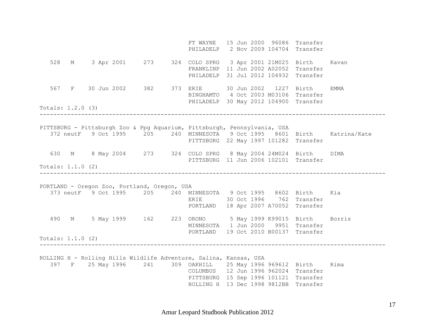FT WAYNE 15 Jun 2000 96086 Transfer PHILADELP 2 Nov 2009 104704 Transfer 528 M 3 Apr 2001 273 324 COLO SPRG 3 Apr 2001 21M025 Birth Kavan FRANKLINP 11 Jun 2002 A02052 Transfer PHILADELP 31 Jul 2012 104932 Transfer 567 F 30 Jun 2002 382 373 ERIE 30 Jun 2002 1227 Birth EMMA BINGHAMTO 4 Oct 2003 M03106 Transfer PHILADELP 30 May 2012 104900 Transfer Totals: 1.2.0 (3) ---------------------------------------------------------------------------------------------------- PITTSBURG - Pittsburgh Zoo & Ppg Aquarium, Pittsburgh, Pennsylvania, USA 372 neutF 9 Oct 1995 205 240 MINNESOTA 9 Oct 1995 8601 Birth Katrina/Kate PITTSBURG 22 May 1997 101282 Transfer 630 M 8 May 2004 273 324 COLO SPRG 8 May 2004 24M024 Birth DIMA PITTSBURG 11 Jun 2006 102101 Transfer Totals: 1.1.0 (2) ---------------------------------------------------------------------------------------------------- PORTLAND - Oregon Zoo, Portland, Oregon, USA 373 neutF 9 Oct 1995 205 240 MINNESOTA 9 Oct 1995 8602 Birth Kia ERIE 30 Oct 1996 762 Transfer PORTLAND 18 Apr 2007 A70052 Transfer 490 M 5 May 1999 162 223 ORONO 5 May 1999 K99015 Birth Borris MINNESOTA 1 Jun 2000 9951 Transfer PORTLAND 19 Oct 2010 B00137 Transfer Totals: 1.1.0 (2) ---------------------------------------------------------------------------------------------------- ROLLING H - Rolling Hills Wildlife Adventure, Salina, Kansas, USA 397 F 25 May 1996 241 309 OAKHILL 25 May 1996 969612 Birth Rima COLUMBUS 12 Jun 1996 962024 Transfer PITTSBURG 15 Sep 1996 101121 Transfer ROLLING H 13 Dec 1998 9812BB Transfer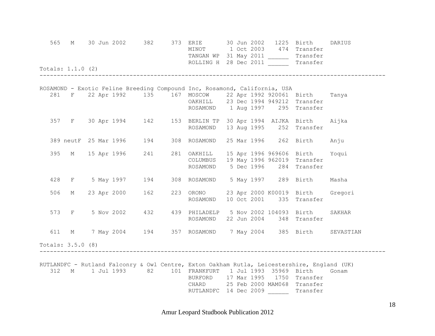|     | 565 | Totals: $1.1.0$ (2) |  |               |     | M 30 Jun 2002 382 373 ERIE 30 Jun 2002 1225 Birth<br>MINOT 1 Oct 2003 474 Transfer<br>TANGAN WP 31 May 2011 _________ Transfer<br>ROLLING H 28 Dec 2011 ________ Transfer                                                                                       |  |  | DARIUS |
|-----|-----|---------------------|--|---------------|-----|-----------------------------------------------------------------------------------------------------------------------------------------------------------------------------------------------------------------------------------------------------------------|--|--|--------|
|     |     |                     |  |               |     | ROSAMOND - Exotic Feline Breeding Compound Inc, Rosamond, California, USA                                                                                                                                                                                       |  |  |        |
|     |     |                     |  |               |     | 281 F 22 Apr 1992 135 167 MOSCOW 22 Apr 1992 920061 Birth Tanya<br>OAKHILL 23 Dec 1994 949212 Transfer<br>ROSAMOND 1 Aug 1997 295 Transfer                                                                                                                      |  |  |        |
|     |     |                     |  |               |     | 357 F 30 Apr 1994 142 153 BERLIN TP 30 Apr 1994 AIJKA Birth Aijka<br>ROSAMOND 13 Aug 1995 252 Transfer                                                                                                                                                          |  |  |        |
|     |     |                     |  |               |     | 389 neutF 25 Mar 1996 194 308 ROSAMOND 25 Mar 1996 262 Birth Anju                                                                                                                                                                                               |  |  |        |
|     | 395 |                     |  | M 15 Apr 1996 | 241 | 281 OAKHILL 15 Apr 1996 969606 Birth Yoqui<br>COLUMBUS 19 May 1996 962019 Transfer<br>ROSAMOND 5 Dec 1996 284 Transfer                                                                                                                                          |  |  |        |
|     |     |                     |  |               |     | 428 F 5 May 1997 194 308 ROSAMOND 5 May 1997 289 Birth Masha                                                                                                                                                                                                    |  |  |        |
|     |     | 506 M               |  | 23 Apr 2000   | 162 | 223 ORONO 23 Apr 2000 K00019 Birth Gregori<br>ROSAMOND 10 Oct 2001 335 Transfer                                                                                                                                                                                 |  |  |        |
|     |     |                     |  |               |     | 573 F 5 Nov 2002 432 439 PHILADELP 5 Nov 2002 104093 Birth<br>ROSAMOND 22 Jun 2004 348 Transfer                                                                                                                                                                 |  |  | SAKHAR |
| 611 |     |                     |  |               |     | M 7 May 2004 194 357 ROSAMOND 7 May 2004 385 Birth SEVASTIAN                                                                                                                                                                                                    |  |  |        |
|     |     | Totals: 3.5.0 (8)   |  |               |     |                                                                                                                                                                                                                                                                 |  |  |        |
| 312 |     |                     |  |               |     | RUTLANDFC - Rutland Falconry & Owl Centre, Exton Oakham Rutla, Leicestershire, England (UK)<br>M 1 Jul 1993 82 101 FRANKFURT 1 Jul 1993 35969 Birth<br>BURFORD 17 Mar 1995 1750 Transfer<br>CHARD 25 Feb 2000 MAM068 Transfer<br>RUTLANDFC 14 Dec 2009 Transfer |  |  | Gonam  |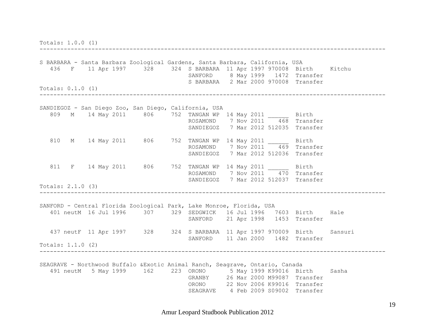Totals: 1.0.0 (1)

----------------------------------------------------------------------------------------------------

S BARBARA - Santa Barbara Zoological Gardens, Santa Barbara, California, USA 436 F 11 Apr 1997 328 324 S BARBARA 11 Apr 1997 970008 Birth Kitchu SANFORD 8 May 1999 1472 Transfer S BARBARA 2 Mar 2000 970008 Transfer Totals: 0.1.0 (1) ---------------------------------------------------------------------------------------------------- SANDIEGOZ - San Diego Zoo, San Diego, California, USA 809 M 14 May 2011 806 752 TANGAN WP 14 May 2011 \_\_\_\_\_\_ Birth ROSAMOND 7 Nov 2011 468 Transfer SANDIEGOZ 7 Mar 2012 512035 Transfer 810 M 14 May 2011 806 752 TANGAN WP 14 May 2011 Birth ROSAMOND 7 Nov 2011 469 Transfer SANDIEGOZ 7 Mar 2012 512036 Transfer 811 F 14 May 2011 806 752 TANGAN WP 14 May 2011 Birth ROSAMOND 7 Nov 2011 470 Transfer SANDIEGOZ 7 Mar 2012 512037 Transfer Totals: 2.1.0 (3) ---------------------------------------------------------------------------------------------------- SANFORD - Central Florida Zoological Park, Lake Monroe, Florida, USA 401 neutM 16 Jul 1996 307 329 SEDGWICK 16 Jul 1996 7603 Birth Hale SANFORD 21 Apr 1998 1453 Transfer 437 neutF 11 Apr 1997 328 324 S BARBARA 11 Apr 1997 970009 Birth Sansuri SANFORD 11 Jan 2000 1482 Transfer Totals: 1.1.0 (2) ---------------------------------------------------------------------------------------------------- SEAGRAVE - Northwood Buffalo &Exotic Animal Ranch, Seagrave, Ontario, Canada 491 neutM 5 May 1999 162 223 ORONO 5 May 1999 K99016 Birth Sasha GRANBY 26 Mar 2000 M99087 Transfer ORONO 22 Nov 2006 K99016 Transfer SEAGRAVE 4 Feb 2009 S09002 Transfer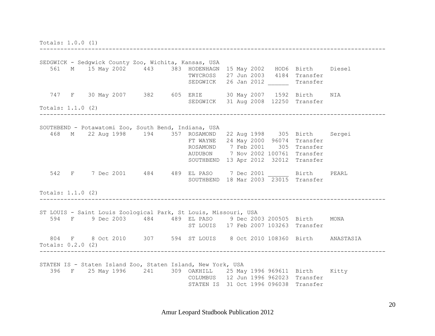Totals: 1.0.0 (1)

SEDGWICK - Sedgwick County Zoo, Wichita, Kansas, USA 561 M 15 May 2002 443 383 HODENHAGN 15 May 2002 HOD6 Birth Diesel TWYCROSS 27 Jun 2003 4184 Transfer SEDGWICK 26 Jan 2012 Transfer 747 F 30 May 2007 382 605 ERIE 30 May 2007 1592 Birth NIA SEDGWICK 31 Aug 2008 12250 Transfer Totals: 1.1.0 (2) ---------------------------------------------------------------------------------------------------- SOUTHBEND - Potawatomi Zoo, South Bend, Indiana, USA 468 M 22 Aug 1998 194 357 ROSAMOND 22 Aug 1998 305 Birth Sergei FT WAYNE 24 May 2000 96074 Transfer ROSAMOND 7 Feb 2001 305 Transfer AUDUBON 7 Nov 2002 100761 Transfer SOUTHBEND 13 Apr 2012 32012 Transfer 542 F 7 Dec 2001 484 489 EL PASO 7 Dec 2001 Birth PEARL SOUTHBEND 18 Mar 2003 23015 Transfer Totals: 1.1.0 (2) ---------------------------------------------------------------------------------------------------- ST LOUIS - Saint Louis Zoological Park, St Louis, Missouri, USA 594 F 9 Dec 2003 484 489 EL PASO 9 Dec 2003 200505 Birth MONA ST LOUIS 17 Feb 2007 103263 Transfer 804 F 8 Oct 2010 307 594 ST LOUIS 8 Oct 2010 108360 Birth ANASTASIA Totals: 0.2.0 (2) ---------------------------------------------------------------------------------------------------- STATEN IS - Staten Island Zoo, Staten Island, New York, USA 396 F 25 May 1996 241 309 OAKHILL 25 May 1996 969611 Birth Kitty COLUMBUS 12 Jun 1996 962023 Transfer STATEN IS 31 Oct 1996 096038 Transfer

----------------------------------------------------------------------------------------------------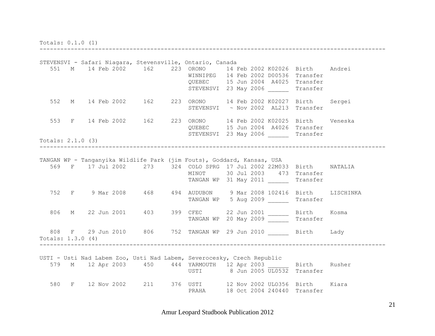Totals: 0.1.0 (1)

STEVENSVI - Safari Niagara, Stevensville, Ontario, Canada 551 M 14 Feb 2002 162 223 ORONO 14 Feb 2002 K02026 Birth Andrei WINNIPEG 14 Feb 2002 D00536 Transfer QUEBEC 15 Jun 2004 A4025 Transfer STEVENSVI 23 May 2006 Transfer 552 M 14 Feb 2002 162 223 ORONO 14 Feb 2002 K02027 Birth Sergei STEVENSVI ~ Nov 2002 AL213 Transfer 553 F 14 Feb 2002 162 223 ORONO 14 Feb 2002 K02025 Birth Veneska QUEBEC 15 Jun 2004 A4026 Transfer STEVENSVI 23 May 2006 Transfer Totals: 2.1.0 (3) ---------------------------------------------------------------------------------------------------- TANGAN WP - Tanganyika Wildlife Park (jim Fouts), Goddard, Kansas, USA 569 F 17 Jul 2002 273 324 COLO SPRG 17 Jul 2002 22M033 Birth NATALIA MINOT 30 Jul 2003 473 Transfer TANGAN WP 31 May 2011 Transfer 752 F 9 Mar 2008 468 494 AUDUBON 9 Mar 2008 102416 Birth LISCHINKA TANGAN WP 5 Aug 2009 \_\_\_\_\_\_ Transfer 806 M 22 Jun 2001 403 399 CFEC 22 Jun 2001 \_\_\_\_\_\_ Birth Kosma TANGAN WP 20 May 2009 Transfer 808 F 29 Jun 2010 806 752 TANGAN WP 29 Jun 2010 Birth Lady Totals: 1.3.0 (4) ---------------------------------------------------------------------------------------------------- USTI - Usti Nad Labem Zoo, Usti Nad Labem, Severocesky, Czech Republic 579 M 12 Apr 2003 450 444 YARMOUTH 12 Apr 2003 Birth Rusher USTI 8 Jun 2005 UL0532 Transfer 580 F 12 Nov 2002 211 376 USTI 12 Nov 2002 ULO356 Birth Kiara PRAHA 18 Oct 2004 240440 Transfer

----------------------------------------------------------------------------------------------------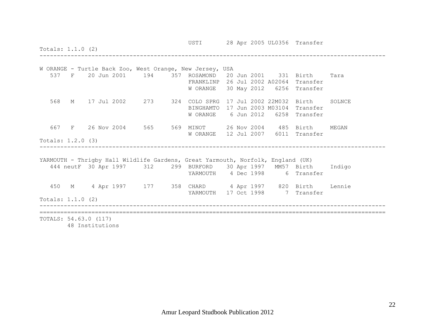USTI 28 Apr 2005 UL0356 Transfer Totals: 1.1.0 (2) ---------------------------------------------------------------------------------------------------- W ORANGE - Turtle Back Zoo, West Orange, New Jersey, USA 537 F 20 Jun 2001 194 357 ROSAMOND 20 Jun 2001 331 Birth Tara FRANKLINP 26 Jul 2002 A02064 Transfer W ORANGE 30 May 2012 6256 Transfer 568 M 17 Jul 2002 273 324 COLO SPRG 17 Jul 2002 22M032 Birth SOLNCE BINGHAMTO 17 Jun 2003 M03104 Transfer W ORANGE 6 Jun 2012 6258 Transfer 667 F 26 Nov 2004 565 569 MINOT 26 Nov 2004 485 Birth MEGAN W ORANGE 12 Jul 2007 6011 Transfer Totals: 1.2.0 (3) ---------------------------------------------------------------------------------------------------- YARMOUTH - Thrigby Hall Wildlife Gardens, Great Yarmouth, Norfolk, England (UK) 444 neutF 30 Apr 1997 312 299 BURFORD 30 Apr 1997 MM57 Birth Indigo YARMOUTH 4 Dec 1998 6 Transfer 450 M 4 Apr 1997 177 358 CHARD 4 Apr 1997 820 Birth Lennie YARMOUTH 17 Oct 1998 7 Transfer Totals: 1.1.0 (2) ---------------------------------------------------------------------------------------------------- ==================================================================================================== TOTALS: 54.63.0 (117) 48 Institutions

Amur Leopard Studbook Publication 2012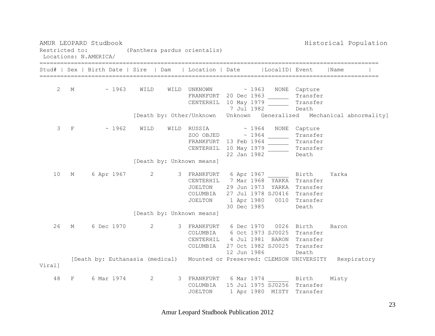AMUR LEOPARD Studbook and the studies of the studies of the studies of the Historical Population Restricted to: (Panthera pardus orientalis) Locations: N.AMERICA/ ================================================================================================== Stud# | Sex | Birth Date | Sire | Dam | Location | Date |LocalID| Event |Name | ================================================================================================== 2 M ~ 1963 WILD WILD UNKNOWN ~ 1963 NONE Capture FRANKFURT 20 Dec 1963 Transfer CENTERHIL 10 May 1979 Transfer 7 Jul 1982 Death [Death by: Other/Unknown Unknown Generalized Mechanical abnormality] 3 F ~ 1962 WILD WILD RUSSIA ~ 1964 NONE Capture zoo objedne waarden waarden waarden waarden waarden waaronde van die soos van die soos van die soos van die so FRANKFURT 13 Feb 1964 Transfer CENTERHIL 10 May 1979 Transfer 22 Jan 1982 Death [Death by: Unknown means] 10 M 6 Apr 1967 2 3 FRANKFURT 6 Apr 1967 \_\_\_\_\_\_ Birth Yarka CENTERHIL 7 Mar 1968 YARKA Transfer JOELTON 29 Jun 1973 YARKA Transfer COLUMBIA 27 Jul 1978 SJ0416 Transfer JOELTON 1 Apr 1980 0010 Transfer 30 Dec 1985 Death [Death by: Unknown means] 26 M 6 Dec 1970 2 3 FRANKFURT 6 Dec 1970 0026 Birth Baron COLUMBIA 6 Oct 1973 SJ0025 Transfer CENTERHIL 4 Jul 1981 BARON Transfer COLUMBIA 27 Oct 1982 SJ0025 Transfer 12 Jun 1986 Death [Death by: Euthanasia (medical) Mounted or Preserved: CLEMSON UNIVERSITY Respiratory Viral] 48 F 6 Mar 1974 2 3 FRANKFURT 6 Mar 1974 \_\_\_\_\_\_ Birth Misty COLUMBIA 15 Jul 1975 SJ0256 Transfer JOELTON 1 Apr 1980 MISTY Transfer

Amur Leopard Studbook Publication 2012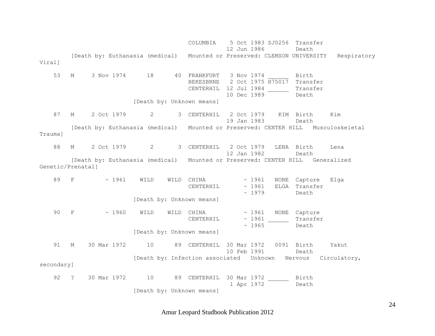COLUMBIA 5 Oct 1983 SJ0256 Transfer 12 Jun 1986 Death [Death by: Euthanasia (medical) Mounted or Preserved: CLEMSON UNIVERSITY Respiratory Viral] 53 M 3 Nov 1974 18 40 FRANKFURT 3 Nov 1974 \_\_\_\_\_\_ Birth BEKESBRNE 2 Oct 1975 H75017 Transfer CENTERHIL 12 Jul 1984 Transfer 10 Dec 1989 Death [Death by: Unknown means] 87 M 2 Oct 1979 2 3 CENTERHIL 2 Oct 1979 KIM Birth Kim 19 Jan 1983 Death [Death by: Euthanasia (medical) Mounted or Preserved: CENTER HILL Musculoskeletal Trauma] 88 M 2 Oct 1979 2 3 CENTERHIL 2 Oct 1979 LENA Birth Lena 12 Jan 1982 Death [Death by: Euthanasia (medical) Mounted or Preserved: CENTER HILL Generalized Genetic/Prenatal] 89 F ~ 1961 WILD WILD CHINA ~ 1961 NONE Capture Elga CENTERHIL ~ 1961 ELGA Transfer  $\sim$  1979 Death [Death by: Unknown means] 90 F ~ 1960 WILD WILD CHINA ~ 1961 NONE Capture CENTERHIL ~ 1961 Transfer  $\sim$  1965 Death [Death by: Unknown means] 91 M 30 Mar 1972 10 89 CENTERHIL 30 Mar 1972 0091 Birth Yakut 10 Feb 1991 Death [Death by: Infection associated Unknown Nervous Circulatory, secondary] 92 ? 30 Mar 1972 10 89 CENTERHIL 30 Mar 1972 Birth 1 Apr 1972 Death [Death by: Unknown means]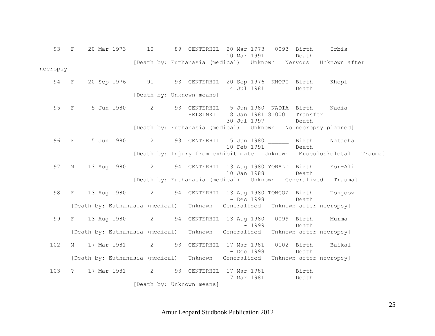93 F 20 Mar 1973 10 89 CENTERHIL 20 Mar 1973 0093 Birth Irbis 10 Mar 1991 Death [Death by: Euthanasia (medical) Unknown Nervous Unknown after necropsy] 94 F 20 Sep 1976 91 93 CENTERHIL 20 Sep 1976 KHOPI Birth Khopi 4 Jul 1981 Death [Death by: Unknown means] 95 F 5 Jun 1980 2 93 CENTERHIL 5 Jun 1980 NADIA Birth Nadia HELSINKI 8 Jan 1981 810001 Transfer 30 Jul 1997 Death [Death by: Euthanasia (medical) Unknown No necropsy planned] 96 F 5 Jun 1980 2 93 CENTERHIL 5 Jun 1980 Birth Natacha 10 Feb 1991 Death [Death by: Injury from exhibit mate Unknown Musculoskeletal Trauma] 97 M 13 Aug 1980 2 94 CENTERHIL 13 Aug 1980 YORALI Birth Yor-Ali 10 Jan 1988 Death [Death by: Euthanasia (medical) Unknown Generalized Trauma] 98 F 13 Aug 1980 2 94 CENTERHIL 13 Aug 1980 TONGOZ Birth Tongooz  $\sim$  Dec 1998 Death [Death by: Euthanasia (medical) Unknown Generalized Unknown after necropsy] 99 F 13 Aug 1980 2 94 CENTERHIL 13 Aug 1980 0099 Birth Murma  $\sim$  1999 Death Death [Death by: Euthanasia (medical) Unknown Generalized Unknown after necropsy] 102 M 17 Mar 1981 2 93 CENTERHIL 17 Mar 1981 0102 Birth Baikal ~ Dec 1998 Death [Death by: Euthanasia (medical) Unknown Generalized Unknown after necropsy] 103 ? 17 Mar 1981 2 93 CENTERHIL 17 Mar 1981 \_\_\_\_\_\_ Birth 17 Mar 1981 Death [Death by: Unknown means]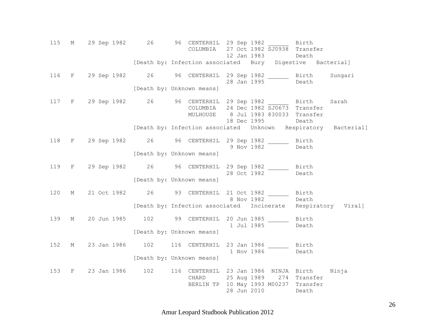115 M 29 Sep 1982 26 96 CENTERHIL 29 Sep 1982 \_\_\_\_\_\_ Birth COLUMBIA 27 Oct 1982 SJ0938 Transfer 12 Jan 1983 Death [Death by: Infection associated Bury Digestive Bacterial] 116 F 29 Sep 1982 26 96 CENTERHIL 29 Sep 1982 \_\_\_\_\_\_ Birth Sungari 28 Jan 1995 Death [Death by: Unknown means] 117 F 29 Sep 1982 26 96 CENTERHIL 29 Sep 1982 \_\_\_\_\_\_ Birth Sarah COLUMBIA 24 Dec 1982 SJ0673 Transfer MULHOUSE 8 Jul 1983 830033 Transfer 18 Dec 1995 Death [Death by: Infection associated Unknown Respiratory Bacterial] 118 F 29 Sep 1982 26 96 CENTERHIL 29 Sep 1982 \_\_\_\_\_\_ Birth 9 Nov 1982 Death [Death by: Unknown means] 119 F 29 Sep 1982 26 96 CENTERHIL 29 Sep 1982 \_\_\_\_\_\_ Birth 28 Oct 1982 Death [Death by: Unknown means] 120 M 21 Oct 1982 26 93 CENTERHIL 21 Oct 1982 \_\_\_\_\_\_ Birth 8 Nov 1982 Death [Death by: Infection associated Incinerate Respiratory Viral] 139 M 20 Jun 1985 102 99 CENTERHIL 20 Jun 1985 \_\_\_\_\_\_ Birth 1 Jul 1985 Death [Death by: Unknown means] 152 M 23 Jan 1986 102 116 CENTERHIL 23 Jan 1986 \_\_\_\_\_\_ Birth 1 Nov 1986 Death [Death by: Unknown means] 153 F 23 Jan 1986 102 116 CENTERHIL 23 Jan 1986 NINJA Birth Ninja CHARD 25 Aug 1989 274 Transfer BERLIN TP 10 May 1993 M00237 Transfer 28 Jun 2010 Death

Amur Leopard Studbook Publication 2012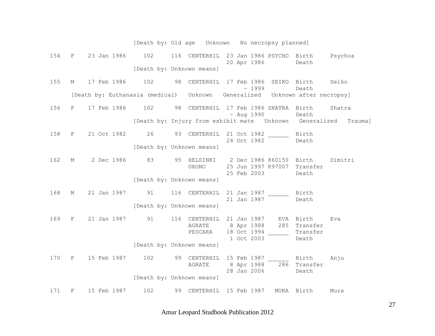|     |   |                                                                                      |     |    | [Death by: Old age    Unknown    No necropsy planned]     |  |                                         |                       |                                   |         |
|-----|---|--------------------------------------------------------------------------------------|-----|----|-----------------------------------------------------------|--|-----------------------------------------|-----------------------|-----------------------------------|---------|
| 154 | F | 23 Jan 1986                                                                          | 102 |    | 116 CENTERHIL 23 Jan 1986 PSYCHO Birth Psychoa            |  |                                         | 20 Apr 1986           | Death                             |         |
|     |   |                                                                                      |     |    | [Death by: Unknown means]                                 |  |                                         |                       |                                   |         |
| 155 | М | 17 Feb 1986                                                                          | 102 | 98 | CENTERHIL 17 Feb 1986 SEIKO Birth                         |  |                                         | $\sim$ 1999           | Death                             | Seiko   |
|     |   | [Death by: Euthanasia (medical)    Unknown    Generalized    Unknown after necropsy] |     |    |                                                           |  |                                         |                       |                                   |         |
| 156 | F | 17 Feb 1986                                                                          | 102 |    | 98 CENTERHIL 17 Feb 1986 SHATRA Birth                     |  |                                         | $\sim$ Aug 1990       | Death                             | Shatra  |
|     |   |                                                                                      |     |    | [Death by: Injury from exhibit mate  Unknown  Generalized |  |                                         |                       |                                   | Trauma] |
| 158 | F | 21 Oct 1982                                                                          |     |    | 26 93 CENTERHIL 21 Oct 1982                               |  | 24 Oct 1982                             |                       | Birth<br>Death                    |         |
|     |   |                                                                                      |     |    | [Death by: Unknown means]                                 |  |                                         |                       |                                   |         |
| 162 | М | 2 Dec 1986                                                                           |     |    | 83 95 HELSINKI 2 Dec 1986 860150 Birth<br>ORONO           |  | 25 Feb 2003                             | 25 Jun 1997 K97007    | Transfer<br>Death                 | Dimitri |
|     |   |                                                                                      |     |    | [Death by: Unknown means]                                 |  |                                         |                       |                                   |         |
| 168 | М | 21 Jan 1987 91                                                                       |     |    | 116 CENTERHIL                                             |  | 21 Jan 1987                             | 21 Jan 1987           | Birth<br>Death                    |         |
|     |   |                                                                                      |     |    | [Death by: Unknown means]                                 |  |                                         |                       |                                   |         |
| 169 | F | 21 Jan 1987                                                                          | 91  |    | 116 CENTERHIL<br>AGRATE<br>PESCARA                        |  | 8 Apr 1988<br>18 Oct 1994<br>1 Oct 2003 | 21 Jan 1987 EVA Birth | 285 Transfer<br>Transfer<br>Death | Eva     |
|     |   |                                                                                      |     |    | [Death by: Unknown means]                                 |  |                                         |                       |                                   |         |
| 170 | F | 15 Feb 1987                                                                          | 102 |    | 99 CENTERHIL 15 Feb 1987 Birth<br>AGRATE                  |  |                                         | 28 Jan 2006           | 8 Apr 1988 286 Transfer<br>Death  | Anju    |
|     |   |                                                                                      |     |    | [Death by: Unknown means]                                 |  |                                         |                       |                                   |         |
| 171 | F | 15 Feb 1987                                                                          | 102 |    | 99 CENTERHIL                                              |  | 15 Feb 1987                             |                       | MURA Birth                        | Mura    |

Amur Leopard Studbook Publication 2012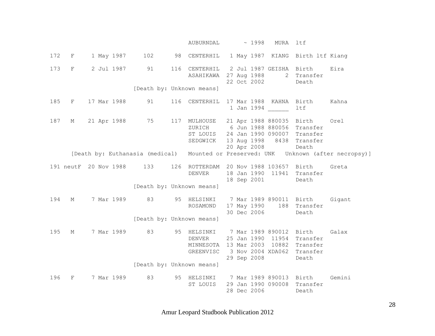AUBURNDAL ~ 1998 MURA ltf 172 F 1 May 1987 102 98 CENTERHIL 1 May 1987 KIANG Birth ltf Kiang 173 F 2 Jul 1987 91 116 CENTERHIL 2 Jul 1987 GEISHA Birth Eira ASAHIKAWA 27 Aug 1988 2 Transfer 22 Oct 2002 Death [Death by: Unknown means] 185 F 17 Mar 1988 91 116 CENTERHIL 17 Mar 1988 KAHNA Birth Kahna 1 Jan 1994 \_\_\_\_\_\_ ltf 187 M 21 Apr 1988 75 117 MULHOUSE 21 Apr 1988 880035 Birth Orel ZURICH 6 Jun 1988 880056 Transfer ST LOUIS 24 Jan 1990 090007 Transfer SEDGWICK 13 Aug 1998 8438 Transfer 20 Apr 2008 Death [Death by: Euthanasia (medical) Mounted or Preserved: UNK Unknown (after necropsy)] 191 neutF 20 Nov 1988 133 126 ROTTERDAM 20 Nov 1988 103657 Birth Greta DENVER 18 Jan 1990 11941 Transfer 18 Sep 2001 Death [Death by: Unknown means] 194 M 7 Mar 1989 83 95 HELSINKI 7 Mar 1989 890011 Birth Gigant ROSAMOND 17 May 1990 188 Transfer 30 Dec 2006 Death [Death by: Unknown means] 195 M 7 Mar 1989 83 95 HELSINKI 7 Mar 1989 890012 Birth Galax DENVER 25 Jan 1990 11954 Transfer MINNESOTA 13 Mar 2003 10882 Transfer GREENVISC 3 Nov 2004 XDA062 Transfer 29 Sep 2008 Death [Death by: Unknown means] 196 F 7 Mar 1989 83 95 HELSINKI 7 Mar 1989 890013 Birth Gemini ST LOUIS 29 Jan 1990 090008 Transfer 28 Dec 2006 Death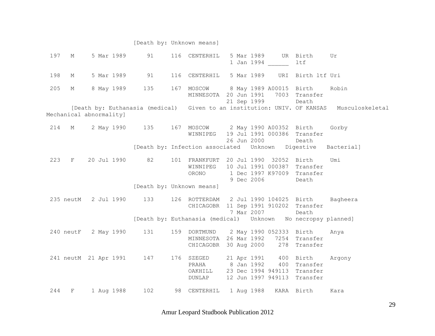#### [Death by: Unknown means]

 197 M 5 Mar 1989 91 116 CENTERHIL 5 Mar 1989 UR Birth Ur 1 Jan 1994 \_\_\_\_\_\_ ltf 198 M 5 Mar 1989 91 116 CENTERHIL 5 Mar 1989 URI Birth ltf Uri 205 M 8 May 1989 135 167 MOSCOW 8 May 1989 A00015 Birth Robin MINNESOTA 20 Jun 1991 7003 Transfer 21 Sep 1999 Death [Death by: Euthanasia (medical) Given to an institution: UNIV. OF KANSAS Musculoskeletal Mechanical abnormality] 214 M 2 May 1990 135 167 MOSCOW 2 May 1990 A00352 Birth Gorby WINNIPEG 19 Jul 1991 000386 Transfer 26 Jun 2000 Death [Death by: Infection associated Unknown Digestive Bacterial] 223 F 20 Jul 1990 82 101 FRANKFURT 20 Jul 1990 32052 Birth Umi WINNIPEG 10 Jul 1991 000387 Transfer ORONO 1 Dec 1997 K97009 Transfer 9 Dec 2006 Death [Death by: Unknown means] 235 neutM 2 Jul 1990 133 126 ROTTERDAM 2 Jul 1990 104025 Birth Bagheera CHICAGOBR 11 Sep 1991 910202 Transfer 7 Mar 2007 Death [Death by: Euthanasia (medical) Unknown No necropsy planned] 240 neutF 2 May 1990 131 159 DORTMUND 2 May 1990 052333 Birth Anya MINNESOTA 26 Mar 1992 7254 Transfer CHICAGOBR 30 Aug 2000 278 Transfer 241 neutM 21 Apr 1991 147 176 SZEGED 21 Apr 1991 400 Birth Argony PRAHA 8 Jan 1992 400 Transfer OAKHILL 23 Dec 1994 949113 Transfer DUNLAP 12 Jun 1997 949113 Transfer 244 F 1 Aug 1988 102 98 CENTERHIL 1 Aug 1988 KARA Birth Kara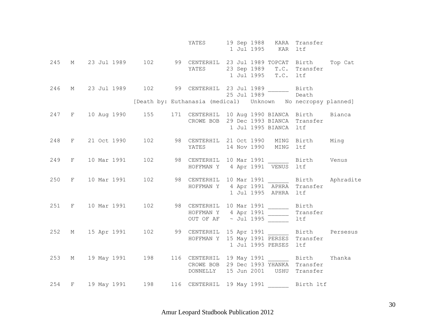|     |                                                                     |  | YATES 19 Sep 1988 KARA Transfer                                                                                     | 1 Jul 1995 KAR ltf  |                       |       |  |
|-----|---------------------------------------------------------------------|--|---------------------------------------------------------------------------------------------------------------------|---------------------|-----------------------|-------|--|
| 245 | M 23 Jul 1989 102 99 CENTERHIL 23 Jul 1989 TOPCAT Birth Top Cat     |  | YATES 23 Sep 1989 T.C. Transfer                                                                                     | 1 Jul 1995 T.C. 1tf |                       |       |  |
| 246 | M 23 Jul 1989 102 99 CENTERHIL 23 Jul 1989 Birth                    |  | $25$ Jul 1989                                                                                                       |                     |                       | Death |  |
|     |                                                                     |  | [Death by: Euthanasia (medical)    Unknown    No necropsy planned]                                                  |                     |                       |       |  |
|     | 247 F 10 Aug 1990 155 171 CENTERHIL 10 Aug 1990 BIANCA Birth Bianca |  | CROWE BOB 29 Dec 1993 BIANCA Transfer                                                                               |                     | 1 Jul 1995 BIANCA ltf |       |  |
|     | 248 F 21 Oct 1990 102 98 CENTERHIL 21 Oct 1990 MING Birth Ming      |  | YATES 14 Nov 1990 MING ltf                                                                                          |                     |                       |       |  |
|     | 249 F 10 Mar 1991                                                   |  | 102 98 CENTERHIL 10 Mar 1991 ______ Birth Venus<br>HOFFMAN Y 4 Apr 1991 VENUS ltf                                   |                     |                       |       |  |
| 250 | F 10 Mar 1991                                                       |  | 102 98 CENTERHIL 10 Mar 1991 _______ Birth Aphradite<br>HOFFMAN Y 4 Apr 1991 APHRA Transfer                         |                     | 1 Jul 1995 APHRA ltf  |       |  |
|     | 251 F 10 Mar 1991                                                   |  | 102 98 CENTERHIL 10 Mar 1991 _______ Birth<br>HOFFMAN Y $4$ Apr 1991 Transfer<br>OUT OF AF $\sim$ Jul 1995 Transfer |                     |                       |       |  |
|     | 252 M 15 Apr 1991                                                   |  | 102 99 CENTERHIL 15 Apr 1991 Birth Persesus<br>HOFFMAN Y 15 May 1991 PERSES Transfer                                |                     | 1 Jul 1995 PERSES ltf |       |  |
|     | 253 M 19 May 1991 198 116 CENTERHIL 19 May 1991 Birth Yhanka        |  | CROWE BOB 29 Dec 1993 YHANKA Transfer<br>DONNELLY 15 Jun 2001 USHU Transfer                                         |                     |                       |       |  |
|     | 254 F 19 May 1991 198 116 CENTERHIL 19 May 1991 ________ Birth ltf  |  |                                                                                                                     |                     |                       |       |  |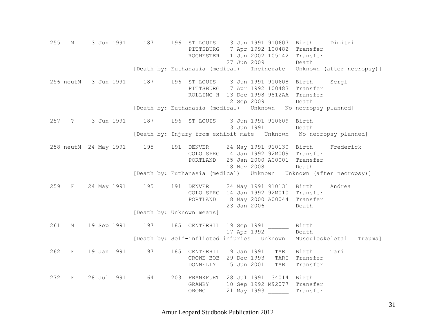255 M 3 Jun 1991 187 196 ST LOUIS 3 Jun 1991 910607 Birth Dimitri PITTSBURG 7 Apr 1992 100482 Transfer ROCHESTER 1 Jun 2002 105142 Transfer 27 Jun 2009 Death [Death by: Euthanasia (medical) Incinerate Unknown (after necropsy)] 256 neutM 3 Jun 1991 187 196 ST LOUIS 3 Jun 1991 910608 Birth Sergi PITTSBURG 7 Apr 1992 100483 Transfer ROLLING H 13 Dec 1998 9812AA Transfer 12 Sep 2009 Death [Death by: Euthanasia (medical) Unknown No necropsy planned] 257 ? 3 Jun 1991 187 196 ST LOUIS 3 Jun 1991 910609 Birth 3 Jun 1991 Death [Death by: Injury from exhibit mate Unknown No necropsy planned] 258 neutM 24 May 1991 195 191 DENVER 24 May 1991 910130 Birth Frederick COLO SPRG 14 Jan 1992 92M009 Transfer PORTLAND 25 Jan 2000 A00001 Transfer 18 Nov 2008 Death [Death by: Euthanasia (medical) Unknown Unknown (after necropsy)] 259 F 24 May 1991 195 191 DENVER 24 May 1991 910131 Birth Andrea COLO SPRG 14 Jan 1992 92M010 Transfer PORTLAND 8 May 2000 A00044 Transfer 23 Jan 2006 Death [Death by: Unknown means] 261 M 19 Sep 1991 197 185 CENTERHIL 19 Sep 1991 \_\_\_\_\_\_ Birth 17 Apr 1992 Death [Death by: Self-inflicted injuries Unknown Musculoskeletal Trauma] 262 F 19 Jan 1991 197 185 CENTERHIL 19 Jan 1991 TARI Birth Tari CROWE BOB 29 Dec 1993 TARI Transfer DONNELLY 15 Jun 2001 TARI Transfer 272 F 28 Jul 1991 164 203 FRANKFURT 28 Jul 1991 34014 Birth GRANBY 10 Sep 1992 M92077 Transfer ORONO 21 May 1993 \_\_\_\_\_\_ Transfer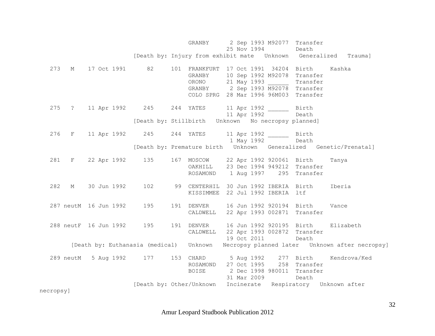GRANBY 2 Sep 1993 M92077 Transfer 25 Nov 1994 Death [Death by: Injury from exhibit mate Unknown Generalized Trauma] 273 M 17 Oct 1991 82 101 FRANKFURT 17 Oct 1991 34204 Birth Kashka GRANBY 10 Sep 1992 M92078 Transfer ORONO 21 May 1993 \_\_\_\_\_\_ Transfer GRANBY 2 Sep 1993 M92078 Transfer COLO SPRG 28 Mar 1996 96M003 Transfer 275 ? 11 Apr 1992 245 244 YATES 11 Apr 1992 \_\_\_\_\_\_ Birth 11 Apr 1992 Death [Death by: Stillbirth Unknown No necropsy planned] 276 F 11 Apr 1992 245 244 YATES 11 Apr 1992 \_\_\_\_\_\_ Birth 1 May 1992 Death [Death by: Premature birth Unknown Generalized Genetic/Prenatal] 281 F 22 Apr 1992 135 167 MOSCOW 22 Apr 1992 920061 Birth Tanya OAKHILL 23 Dec 1994 949212 Transfer ROSAMOND 1 Aug 1997 295 Transfer 282 M 30 Jun 1992 102 99 CENTERHIL 30 Jun 1992 IBERIA Birth Iberia KISSIMMEE 22 Jul 1992 IBERIA ltf 287 neutM 16 Jun 1992 195 191 DENVER 16 Jun 1992 920194 Birth Vance CALDWELL 22 Apr 1993 002871 Transfer 288 neutF 16 Jun 1992 195 191 DENVER 16 Jun 1992 920195 Birth Elizabeth CALDWELL 22 Apr 1993 002872 Transfer 19 Oct 2011 Death [Death by: Euthanasia (medical) Unknown Necropsy planned later Unknown after necropsy] 289 neutM 5 Aug 1992 177 153 CHARD 5 Aug 1992 277 Birth Kendrova/Ked ROSAMOND 27 Oct 1995 258 Transfer BOISE 2 Dec 1998 980011 Transfer 31 Mar 2009 Death [Death by: Other/Unknown Incinerate Respiratory Unknown after necropsy]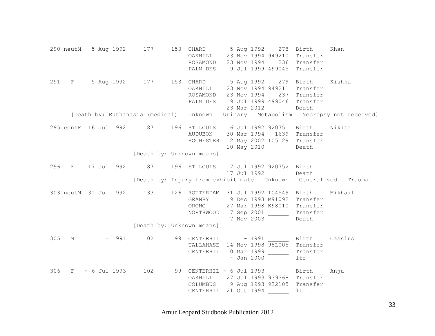290 neutM 5 Aug 1992 177 153 CHARD 5 Aug 1992 278 Birth Khan OAKHILL 23 Nov 1994 949210 Transfer ROSAMOND 23 Nov 1994 236 Transfer PALM DES 9 Jul 1999 499045 Transfer 291 F 5 Aug 1992 177 153 CHARD 5 Aug 1992 279 Birth Kishka OAKHILL 23 Nov 1994 949211 Transfer ROSAMOND 23 Nov 1994 237 Transfer PALM DES 9 Jul 1999 499046 Transfer 23 Mar 2012 Death [Death by: Euthanasia (medical) Unknown Urinary Metabolism Necropsy not received] 295 contF 16 Jul 1992 187 196 ST LOUIS 16 Jul 1992 920751 Birth Nikita AUDUBON 30 Mar 1994 1639 Transfer ROCHESTER 2 May 2002 105129 Transfer 10 May 2010 Death [Death by: Unknown means] 296 F 17 Jul 1992 187 196 ST LOUIS 17 Jul 1992 920752 Birth 17 Jul 1992 Death [Death by: Injury from exhibit mate Unknown Generalized Trauma] 303 neutM 31 Jul 1992 133 126 ROTTERDAM 31 Jul 1992 104549 Birth Mikhail GRANBY 9 Dec 1993 M91092 Transfer ORONO 27 Mar 1998 K98010 Transfer NORTHWOOD 7 Sep 2001 \_\_\_\_\_\_ Transfer 7 Nov 2003 Death [Death by: Unknown means] 305 M ~ 1991 102 99 CENTERHIL ~ 1991 Birth Cassius TALLAHASE 14 Nov 1998 98L005 Transfer CENTERHIL 10 Mar 1999 \_\_\_\_\_\_ Transfer  $\sim$  Jan 2000  $\sim$  1tf 306 F ~ 6 Jul 1993 102 99 CENTERHIL ~ 6 Jul 1993 \_\_\_\_\_\_ Birth Anju OAKHILL 27 Jul 1993 939368 Transfer COLUMBUS 9 Aug 1993 932105 Transfer CENTERHIL 21 Oct 1994 \_\_\_\_\_\_ ltf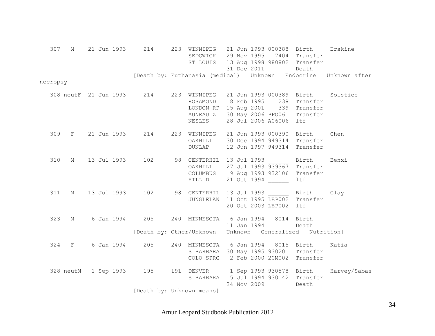| 307       |             |  |            | M 21 Jun 1993 214        |  | 223 WINNIPEG 21 Jun 1993 000388 Birth<br>SEDGWICK 29 Nov 1995 7404 Transfer<br>ST LOUIS 13 Aug 1998 980802 Transfer                                                      |  | 31 Dec 2011 Death      |                                    | Erskine                                                         |
|-----------|-------------|--|------------|--------------------------|--|--------------------------------------------------------------------------------------------------------------------------------------------------------------------------|--|------------------------|------------------------------------|-----------------------------------------------------------------|
|           |             |  |            |                          |  |                                                                                                                                                                          |  |                        |                                    | [Death by: Euthanasia (medical) Unknown Endocrine Unknown after |
| necropsy] |             |  |            |                          |  |                                                                                                                                                                          |  |                        |                                    |                                                                 |
|           |             |  |            |                          |  | 308 neutF 21 Jun 1993 214 223 WINNIPEG 21 Jun 1993 000389 Birth Solstice<br>ROSAMOND 8 Feb 1995 238 Transfer<br>LONDON RP 15 Aug 2001 339 Transfer<br>AUNEAU Z<br>NESLES |  | 28 Jul 2006 A06006 ltf | 30 May 2006 PPO061 Transfer        |                                                                 |
| 309       |             |  |            |                          |  | F 21 Jun 1993 214 223 WINNIPEG 21 Jun 1993 000390 Birth<br>OAKHILL 30 Dec 1994 949314 Transfer<br><b>DUNLAP</b>                                                          |  |                        | 12 Jun 1997 949314 Transfer        | Chen                                                            |
| 310       | $M_{\odot}$ |  |            |                          |  | 13 Jul 1993 102 98 CENTERHIL 13 Jul 1993 _______ Birth<br>OAKHILL<br>COLUMBUS 9 Aug 1993 932106 Transfer<br>HILL D                                                       |  | 21 Oct 1994            | 27 Jul 1993 939367 Transfer<br>ltf | Benxi                                                           |
| 311       |             |  |            |                          |  | M 13 Jul 1993 102 98 CENTERHIL 13 Jul 1993 _______ Birth Clay<br>JUNGLELAN 11 Oct 1995 LEP002 Transfer                                                                   |  | 20 Oct 2003 LEP002 ltf |                                    |                                                                 |
| 323       | M           |  |            | 6 Jan 1994 205           |  | 240 MINNESOTA 6 Jan 1994 8014 Birth                                                                                                                                      |  | 11 Jan 1994 Death      |                                    |                                                                 |
|           |             |  |            |                          |  | [Death by: Other/Unknown Unknown Generalized Nutrition]                                                                                                                  |  |                        |                                    |                                                                 |
|           | 324 F       |  | 6 Jan 1994 | 205                      |  | 240 MINNESOTA 6 Jan 1994 8015 Birth<br>S BARBARA 30 May 1995 930201 Transfer<br>COLO SPRG 2 Feb 2000 20M002 Transfer                                                     |  |                        |                                    | Katia                                                           |
|           |             |  |            | 328 neutM 1 Sep 1993 195 |  | S BARBARA 15 Jul 1994 930142 Transfer                                                                                                                                    |  | 24 Nov 2009            | Death                              | 191 DENVER 1 Sep 1993 930578 Birth Harvey/Sabas                 |
|           |             |  |            |                          |  | [Death by: Unknown means]                                                                                                                                                |  |                        |                                    |                                                                 |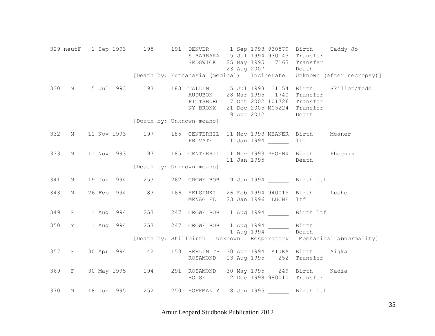329 neutF 1 Sep 1993 195 191 DENVER 1 Sep 1993 930579 Birth Taddy Jo S BARBARA 15 Jul 1994 930143 Transfer SEDGWICK 25 May 1995 7163 Transfer 23 Aug 2007 Death [Death by: Euthanasia (medical) Incinerate Unknown (after necropsy)] 330 M 5 Jul 1993 193 183 TALLIN 5 Jul 1993 11154 Birth Skillet/Tedd AUDUBON 28 Mar 1995 1740 Transfer PITTSBURG 17 Oct 2002 101726 Transfer NY BRONX 21 Dec 2005 M05224 Transfer 19 Apr 2012 Death [Death by: Unknown means] 332 M 11 Nov 1993 197 185 CENTERHIL 11 Nov 1993 MEANER Birth Meaner PRIVATE 1 Jan 1994 ltf 333 M 11 Nov 1993 197 185 CENTERHIL 11 Nov 1993 PHOENX Birth Phoenix 11 Jan 1995 Death [Death by: Unknown means] 341 M 19 Jun 1994 253 262 CROWE BOB 19 Jun 1994 \_\_\_\_\_\_ Birth ltf 343 M 26 Feb 1994 83 166 HELSINKI 26 Feb 1994 940015 Birth Luche MENAG FL 23 Jan 1996 LUCHE ltf 349 F 1 Aug 1994 253 247 CROWE BOB 1 Aug 1994 \_\_\_\_\_\_ Birth ltf 350 ? 1 Aug 1994 253 247 CROWE BOB 1 Aug 1994 \_\_\_\_\_\_ Birth 1 Aug 1994 Death [Death by: Stillbirth Unknown Respiratory Mechanical abnormality] 357 F 30 Apr 1994 142 153 BERLIN TP 30 Apr 1994 AIJKA Birth Aijka ROSAMOND 13 Aug 1995 252 Transfer 369 F 30 May 1995 194 291 ROSAMOND 30 May 1995 249 Birth Nadia BOISE 2 Dec 1998 980010 Transfer 370 M 18 Jun 1995 252 250 HOFFMAN Y 18 Jun 1995 \_\_\_\_\_\_ Birth ltf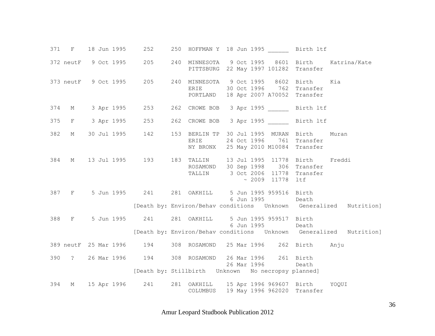|     | 371 F 18 Jun 1995 |  | 252                      |  |                                                          |  |                       | 250 HOFFMAN Y 18 Jun 1995 Birth 1tf                                                                                                       |       |  |
|-----|-------------------|--|--------------------------|--|----------------------------------------------------------|--|-----------------------|-------------------------------------------------------------------------------------------------------------------------------------------|-------|--|
|     |                   |  | 372 neutF 9 Oct 1995 205 |  |                                                          |  |                       | 240 MINNESOTA 9 Oct 1995 8601 Birth Katrina/Kate<br>PITTSBURG 22 May 1997 101282 Transfer                                                 |       |  |
|     |                   |  |                          |  |                                                          |  |                       | 373 neutF 9 Oct 1995 205 240 MINNESOTA 9 Oct 1995 8602 Birth Kia<br>ERIE 30 Oct 1996 762 Transfer<br>PORTLAND 18 Apr 2007 A70052 Transfer |       |  |
|     |                   |  |                          |  |                                                          |  |                       | 374 M 3 Apr 1995 253 262 CROWE BOB 3 Apr 1995 Birth 1tf                                                                                   |       |  |
|     |                   |  | 375 F 3 Apr 1995 253     |  |                                                          |  |                       | 262 CROWE BOB 3 Apr 1995 Birth 1tf                                                                                                        |       |  |
| 382 |                   |  |                          |  |                                                          |  |                       | M 30 Jul 1995 142 153 BERLIN TP 30 Jul 1995 MURAN Birth<br>ERIE 24 Oct 1996 761 Transfer<br>NY BRONX 25 May 2010 M10084 Transfer          | Muran |  |
| 384 |                   |  |                          |  |                                                          |  | $\sim 2009$ 11778 ltf | M 13 Jul 1995 193 183 TALLIN 13 Jul 1995 11778 Birth Freddi<br>ROSAMOND 30 Sep 1998 306 Transfer<br>TALLIN 3 Oct 2006 11778 Transfer      |       |  |
|     |                   |  |                          |  | 387 F 5 Jun 1995 241 281 OAKHILL 5 Jun 1995 959516 Birth |  | 6 Jun 1995 Death      |                                                                                                                                           |       |  |
|     |                   |  |                          |  |                                                          |  |                       | [Death by: Environ/Behav conditions  Unknown  Generalized  Nutrition]                                                                     |       |  |
|     |                   |  |                          |  | 388 F 5 Jun 1995 241 281 OAKHILL 5 Jun 1995 959517 Birth |  | 6 Jun 1995 Death      |                                                                                                                                           |       |  |
|     |                   |  |                          |  |                                                          |  |                       | [Death by: Environ/Behav conditions  Unknown  Generalized  Nutrition]                                                                     |       |  |
|     |                   |  |                          |  |                                                          |  |                       | 389 neutF 25 Mar 1996 194 308 ROSAMOND 25 Mar 1996 262 Birth Anju                                                                         |       |  |
|     |                   |  |                          |  | 390 ? 26 Mar 1996 194 308 ROSAMOND 26 Mar 1996 261 Birth |  | 26 Mar 1996 Death     |                                                                                                                                           |       |  |
|     |                   |  |                          |  | [Death by: Stillbirth Unknown No necropsy planned]       |  |                       |                                                                                                                                           |       |  |
| 394 |                   |  |                          |  |                                                          |  |                       | M 15 Apr 1996 241 281 OAKHILL 15 Apr 1996 969607 Birth YOQUI<br>COLUMBUS 19 May 1996 962020 Transfer                                      |       |  |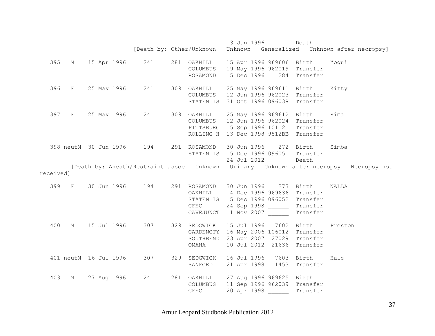|           |   |                       |             |                           |                                             | 3 Jun 1996                            | Death                      |                                                                                       |
|-----------|---|-----------------------|-------------|---------------------------|---------------------------------------------|---------------------------------------|----------------------------|---------------------------------------------------------------------------------------|
|           |   |                       |             |                           |                                             |                                       |                            | [Death by: Other/Unknown Unknown Generalized Unknown after necropsy]                  |
|           |   |                       |             |                           |                                             |                                       |                            |                                                                                       |
|           |   |                       |             | 395 M 15 Apr 1996 241     | 281 OAKHILL 15 Apr 1996 969606 Birth Yoqui  |                                       |                            |                                                                                       |
|           |   |                       |             |                           |                                             | COLUMBUS 19 May 1996 962019 Transfer  |                            |                                                                                       |
|           |   |                       |             |                           |                                             | ROSAMOND 5 Dec 1996 284 Transfer      |                            |                                                                                       |
|           |   |                       |             |                           |                                             |                                       |                            |                                                                                       |
|           |   |                       |             | 396 F 25 May 1996 241     | 309 OAKHILL 25 May 1996 969611 Birth Kitty  |                                       |                            |                                                                                       |
|           |   |                       |             |                           |                                             | COLUMBUS 12 Jun 1996 962023 Transfer  |                            |                                                                                       |
|           |   |                       |             |                           |                                             | STATEN IS 31 Oct 1996 096038 Transfer |                            |                                                                                       |
|           |   |                       |             |                           |                                             |                                       |                            |                                                                                       |
|           |   |                       |             | 397 F 25 May 1996 241     | 309 OAKHILL 25 May 1996 969612 Birth Rima   |                                       |                            |                                                                                       |
|           |   |                       |             |                           |                                             | COLUMBUS 12 Jun 1996 962024 Transfer  |                            |                                                                                       |
|           |   |                       |             |                           |                                             | PITTSBURG 15 Sep 1996 101121 Transfer |                            |                                                                                       |
|           |   |                       |             |                           |                                             | ROLLING H 13 Dec 1998 9812BB Transfer |                            |                                                                                       |
|           |   |                       |             |                           |                                             |                                       |                            |                                                                                       |
|           |   |                       |             | 398 neutM 30 Jun 1996 194 | 291 ROSAMOND 30 Jun 1996 272 Birth Simba    |                                       |                            |                                                                                       |
|           |   |                       |             |                           |                                             | STATEN IS 5 Dec 1996 096051 Transfer  |                            |                                                                                       |
|           |   |                       |             |                           |                                             | 24 Jul 2012                           | Death                      |                                                                                       |
|           |   |                       |             |                           |                                             |                                       |                            | [Death by: Anesth/Restraint assoc Unknown Urinary Unknown after necropsy Necropsy not |
| received] |   |                       |             |                           |                                             |                                       |                            |                                                                                       |
|           |   |                       |             |                           |                                             |                                       |                            |                                                                                       |
|           |   |                       |             | 399 F 30 Jun 1996 194     | 291 ROSAMOND 30 Jun 1996 273 Birth NALLA    |                                       |                            |                                                                                       |
|           |   |                       |             |                           |                                             | OAKHILL 4 Dec 1996 969636 Transfer    |                            |                                                                                       |
|           |   |                       |             |                           |                                             | STATEN IS 5 Dec 1996 096052 Transfer  |                            |                                                                                       |
|           |   |                       |             |                           | CFEC                                        | 24 Sep 1998 _______ Transfer          |                            |                                                                                       |
|           |   |                       |             |                           |                                             | CAVEJUNCT 1 Nov 2007 Transfer         |                            |                                                                                       |
|           |   |                       |             |                           |                                             |                                       |                            |                                                                                       |
| 400       |   |                       |             | M 15 Jul 1996 307         | 329 SEDGWICK 15 Jul 1996 7602 Birth Preston |                                       |                            |                                                                                       |
|           |   |                       |             |                           |                                             | GARDENCTY 16 May 2006 106012 Transfer |                            |                                                                                       |
|           |   |                       |             |                           |                                             | SOUTHBEND 23 Apr 2007 27029 Transfer  |                            |                                                                                       |
|           |   |                       |             |                           | OMAHA                                       |                                       | 10 Jul 2012 21636 Transfer |                                                                                       |
|           |   |                       |             |                           |                                             |                                       |                            |                                                                                       |
|           |   | 401 neutM 16 Jul 1996 |             | 307                       | 329 SEDGWICK 16 Jul 1996 7603 Birth         |                                       |                            | Hale                                                                                  |
|           |   |                       |             |                           |                                             | SANFORD 21 Apr 1998                   | 1453 Transfer              |                                                                                       |
|           |   |                       |             |                           |                                             |                                       |                            |                                                                                       |
| 403       | М |                       | 27 Aug 1996 | 241                       | 281 OAKHILL 27 Aug 1996 969625 Birth        |                                       |                            |                                                                                       |
|           |   |                       |             |                           |                                             | COLUMBUS 11 Sep 1996 962039 Transfer  |                            |                                                                                       |
|           |   |                       |             |                           | <b>CFEC</b>                                 | 20 Apr 1998                           | Transfer                   |                                                                                       |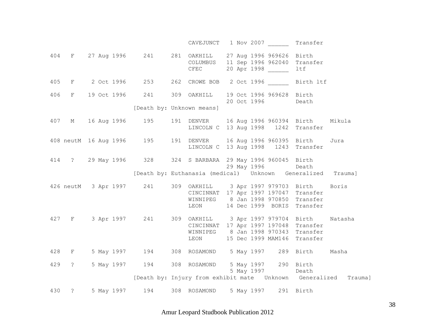|     |       |  |  | CAVEJUNCT 1 Nov 2007 Transfer                                                                                                                                                        |  |                   |                            |         |
|-----|-------|--|--|--------------------------------------------------------------------------------------------------------------------------------------------------------------------------------------|--|-------------------|----------------------------|---------|
|     |       |  |  | 404 F 27 Aug 1996 241 281 OAKHILL 27 Aug 1996 969626 Birth<br>COLUMBUS 11 Sep 1996 962040 Transfer<br>CFEC 20 Apr 1998                                                               |  |                   | ltf                        |         |
| 405 |       |  |  | F 2 Oct 1996 253 262 CROWE BOB 2 Oct 1996 Birth 1tf                                                                                                                                  |  |                   |                            |         |
|     |       |  |  | 406 F 19 Oct 1996 241 309 OAKHILL 19 Oct 1996 969628 Birth                                                                                                                           |  | 20 Oct 1996 Death |                            |         |
|     |       |  |  | [Death by: Unknown means]                                                                                                                                                            |  |                   |                            |         |
|     |       |  |  | 407 M 16 Aug 1996 195 191 DENVER 16 Aug 1996 960394 Birth Mikula<br>LINCOLN C 13 Aug 1998 1242 Transfer                                                                              |  |                   |                            |         |
|     |       |  |  | 408 neutM 16 Aug 1996 195 191 DENVER 16 Aug 1996 960395 Birth Jura<br>LINCOLN C 13 Aug 1998 1243 Transfer                                                                            |  |                   |                            |         |
|     |       |  |  | 414 ? 29 May 1996 328 324 S BARBARA 29 May 1996 960045 Birth                                                                                                                         |  | 29 May 1996       | Death                      |         |
|     |       |  |  | [Death by: Euthanasia (medical)    Unknown    Generalized    Trauma]                                                                                                                 |  |                   |                            |         |
|     |       |  |  | 426 neutM 3 Apr 1997 241 309 OAKHILL 3 Apr 1997 979703 Birth Boris<br>CINCINNAT 17 Apr 1997 197047 Transfer<br>WINNIPEG 8 Jan 1998 970850 Transfer<br>LEON                           |  |                   | 14 Dec 1999 BORIS Transfer |         |
|     |       |  |  | 427 F 3 Apr 1997 241 309 OAKHILL 3 Apr 1997 979704 Birth Natasha<br>CINCINNAT 17 Apr 1997 197048 Transfer<br>WINNIPEG 8 Jan 1998 970343 Transfer<br>LEON 15 Dec 1999 MAM146 Transfer |  |                   |                            |         |
|     | 428 F |  |  | 5 May 1997 194 308 ROSAMOND 5 May 1997 289 Birth Masha                                                                                                                               |  |                   |                            |         |
|     |       |  |  | 429 ? 5 May 1997 194 308 ROSAMOND 5 May 1997 290 Birth                                                                                                                               |  | 5 May 1997 Death  |                            |         |
|     |       |  |  | [Death by: Injury from exhibit mate  Unknown  Generalized                                                                                                                            |  |                   |                            | Trauma] |
| 430 |       |  |  | ? 5 May 1997 194 308 ROSAMOND 5 May 1997 291 Birth                                                                                                                                   |  |                   |                            |         |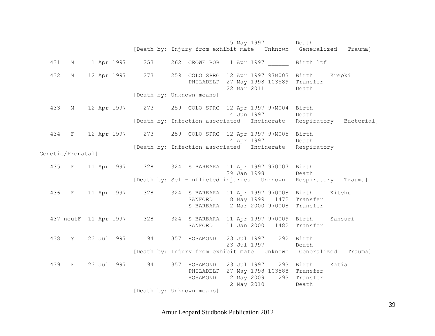5 May 1997 Death [Death by: Injury from exhibit mate Unknown Generalized Trauma] 431 M 1 Apr 1997 253 262 CROWE BOB 1 Apr 1997 Birth ltf 432 M 12 Apr 1997 273 259 COLO SPRG 12 Apr 1997 97M003 Birth Krepki PHILADELP 27 May 1998 103589 Transfer 22 Mar 2011 Death [Death by: Unknown means] 433 M 12 Apr 1997 273 259 COLO SPRG 12 Apr 1997 97M004 Birth 4 Jun 1997 Death [Death by: Infection associated Incinerate Respiratory Bacterial] 434 F 12 Apr 1997 273 259 COLO SPRG 12 Apr 1997 97M005 Birth 14 Apr 1997 Death [Death by: Infection associated Incinerate Respiratory Genetic/Prenatal] 435 F 11 Apr 1997 328 324 S BARBARA 11 Apr 1997 970007 Birth 29 Jan 1998 Death [Death by: Self-inflicted injuries Unknown Respiratory Trauma] 436 F 11 Apr 1997 328 324 S BARBARA 11 Apr 1997 970008 Birth Kitchu SANFORD 8 May 1999 1472 Transfer S BARBARA 2 Mar 2000 970008 Transfer 437 neutF 11 Apr 1997 328 324 S BARBARA 11 Apr 1997 970009 Birth Sansuri SANFORD 11 Jan 2000 1482 Transfer 438 ? 23 Jul 1997 194 357 ROSAMOND 23 Jul 1997 292 Birth 23 Jul 1997 Death [Death by: Injury from exhibit mate Unknown Generalized Trauma] 439 F 23 Jul 1997 194 357 ROSAMOND 23 Jul 1997 293 Birth Katia PHILADELP 27 May 1998 103588 Transfer ROSAMOND 12 May 2009 293 Transfer 2 May 2010 Death [Death by: Unknown means]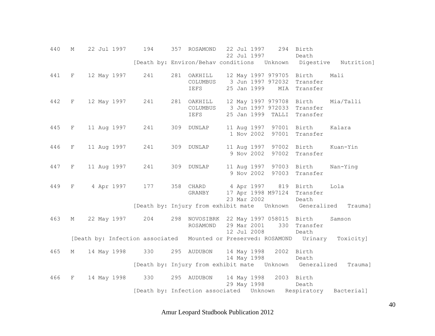| 440 | $M_{\odot}$ | 22 Jul 1997                                                                      | 194 |     | 357 ROSAMOND                    | 22 Jul 1997<br>22 Jul 1997 |                                                                                | 294 Birth<br>Death            |                                                                     |
|-----|-------------|----------------------------------------------------------------------------------|-----|-----|---------------------------------|----------------------------|--------------------------------------------------------------------------------|-------------------------------|---------------------------------------------------------------------|
|     |             |                                                                                  |     |     |                                 |                            |                                                                                |                               | [Death by: Environ/Behav conditions  Unknown  Digestive  Nutrition] |
| 441 | F           | 12 May 1997                                                                      | 241 |     | 281 OAKHILL<br>COLUMBUS<br>IEFS | 25 Jan 1999                | 12 May 1997 979705 Birth<br>3 Jun 1997 972032 Transfer                         | MIA Transfer                  | Mali                                                                |
| 442 | F           | 12 May 1997                                                                      | 241 |     | 281 OAKHILL<br>COLUMBUS<br>IEFS |                            | 12 May 1997 979708<br>3 Jun 1997 972033 Transfer<br>25 Jan 1999 TALLI Transfer | Birth                         | Mia/Talli                                                           |
| 445 | F           | 11 Aug 1997                                                                      | 241 |     | 309 DUNLAP                      | 11 Aug 1997<br>1 Nov 2002  |                                                                                | 97001 Birth<br>97001 Transfer | Kalara                                                              |
| 446 | F           | 11 Aug 1997                                                                      | 241 | 309 | <b>DUNLAP</b>                   | 11 Aug 1997<br>9 Nov 2002  |                                                                                | 97002 Birth<br>97002 Transfer | Kuan-Yin                                                            |
| 447 | F           | 11 Aug 1997                                                                      | 241 |     | 309 DUNLAP                      | 11 Aug 1997                | 9 Nov 2002                                                                     | 97003 Birth<br>97003 Transfer | Nan-Ying                                                            |
| 449 | $\mathbf F$ | 4 Apr 1997                                                                       | 177 |     | 358 CHARD<br>GRANBY             | 23 Mar 2002                | 4 Apr 1997 819 Birth<br>17 Apr 1998 M97124 Transfer                            | Death                         | Lola                                                                |
|     |             |                                                                                  |     |     |                                 |                            | [Death by: Injury from exhibit mate  Unknown  Generalized                      |                               | Trauma]                                                             |
| 463 | М           | 22 May 1997                                                                      | 204 |     | ROSAMOND                        | 29 Mar 2001<br>12 Jul 2008 | 298 NOVOSIBRK 22 May 1997 058015 Birth                                         | 330 Transfer<br>Death         | Samson                                                              |
|     |             | [Death by: Infection associated Mounted or Preserved: ROSAMOND Urinary Toxicity] |     |     |                                 |                            |                                                                                |                               |                                                                     |
| 465 | М           | 14 May 1998 330                                                                  |     |     | 295 AUDUBON                     | 14 May 1998                | 14 May 1998 2002 Birth                                                         | Death                         |                                                                     |
|     |             |                                                                                  |     |     |                                 |                            | [Death by: Injury from exhibit mate  Unknown  Generalized                      |                               | Trauma]                                                             |
| 466 | F           | 14 May 1998                                                                      | 330 |     | 295 AUDUBON                     | 29 May 1998                | 14 May 1998                                                                    | 2003 Birth<br>Death           |                                                                     |
|     |             |                                                                                  |     |     |                                 |                            | [Death by: Infection associated Unknown Respiratory Bacterial]                 |                               |                                                                     |

Amur Leopard Studbook Publication 2012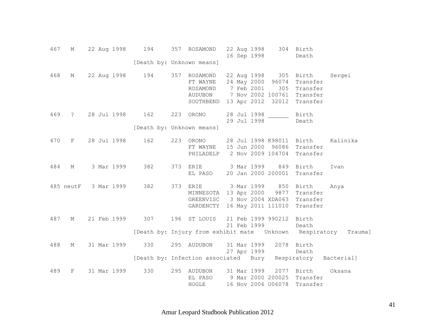| 467 | М              |  | 22 Aug 1998 | 194             |     | 357 ROSAMOND                                                                     |  | 22 Aug 1998<br>16 Sep 1998 |                                                                                       | 304 Birth<br>Death                                    |          |
|-----|----------------|--|-------------|-----------------|-----|----------------------------------------------------------------------------------|--|----------------------------|---------------------------------------------------------------------------------------|-------------------------------------------------------|----------|
|     |                |  |             |                 |     | [Death by: Unknown means]                                                        |  |                            |                                                                                       |                                                       |          |
| 468 | М              |  | 22 Aug 1998 | 194             |     | 357 ROSAMOND<br>FT WAYNE<br>ROSAMOND<br>AUDUBON<br>SOUTHBEND                     |  | 7 Feb 2001                 | 22 Aug 1998 305<br>24 May 2000 96074<br>305<br>7 Nov 2002 100761<br>13 Apr 2012 32012 | Birth<br>Transfer<br>Transfer<br>Transfer<br>Transfer | Sergei   |
| 469 | $\ddot{\cdot}$ |  |             | 28 Jul 1998 162 |     | 223 ORONO                                                                        |  | 28 Jul 1998<br>29 Jul 1998 |                                                                                       | Birth<br>Death                                        |          |
|     |                |  |             |                 |     | [Death by: Unknown means]                                                        |  |                            |                                                                                       |                                                       |          |
| 470 | F              |  | 28 Jul 1998 | 162             | 223 | ORONO<br>FT WAYNE<br>PHILADELP                                                   |  |                            | 28 Jul 1998 K98011<br>15 Jun 2000 96086<br>2 Nov 2009 104704                          | Birth<br>Transfer<br>Transfer                         | Kalinika |
| 484 | М              |  | 3 Mar 1999  | 382             | 373 | ERIE<br>EL PASO                                                                  |  | 3 Mar 1999                 | 849<br>20 Jan 2000 200001                                                             | Birth<br>Transfer                                     | Ivan     |
|     | 485 neutF      |  | 3 Mar 1999  | 382             | 373 | <b>ERIE</b><br>MINNESOTA 13 Apr 2000<br>GREENVISC 3 Nov 2004 XDA063<br>GARDENCTY |  | 3 Mar 1999                 | 850<br>9877<br>16 May 2011 111010                                                     | Birth<br>Transfer<br>Transfer<br>Transfer             | Anya     |
| 487 | М              |  | 21 Feb 1999 | 307             | 196 | ST LOUIS                                                                         |  | 21 Feb 1999                | 21 Feb 1999 990212                                                                    | Birth<br>Death                                        |          |
| 488 | М              |  | 31 Mar 1999 | 330             |     | [Death by: Injury from exhibit mate Unknown Respiratory<br>295 AUDUBON           |  | 31 Mar 1999<br>27 Apr 1999 |                                                                                       | 2078 Birth<br>Death                                   | Trauma]  |
|     |                |  |             |                 |     | [Death by: Infection associated Bury Respiratory Bacterial]                      |  |                            |                                                                                       |                                                       |          |
| 489 | F              |  | 31 Mar 1999 | 330             |     | 295 AUDUBON<br>EL PASO<br>HOGLE                                                  |  | 31 Mar 1999                | 9 Mar 2000 200025<br>16 Nov 2006 U06078                                               | 2077 Birth<br>Transfer<br>Transfer                    | Oksana   |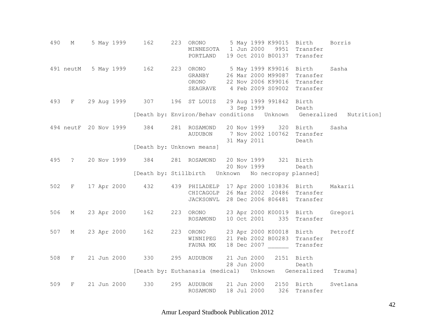490 M 5 May 1999 162 223 ORONO 5 May 1999 K99015 Birth Borris MINNESOTA 1 Jun 2000 9951 Transfer PORTLAND 19 Oct 2010 B00137 Transfer 491 neutM 5 May 1999 162 223 ORONO 5 May 1999 K99016 Birth Sasha GRANBY 26 Mar 2000 M99087 Transfer ORONO 22 Nov 2006 K99016 Transfer SEAGRAVE 4 Feb 2009 S09002 Transfer 493 F 29 Aug 1999 307 196 ST LOUIS 29 Aug 1999 991842 Birth 3 Sep 1999 Death [Death by: Environ/Behav conditions Unknown Generalized Nutrition] 494 neutF 20 Nov 1999 384 281 ROSAMOND 20 Nov 1999 320 Birth Sasha AUDUBON 7 Nov 2002 100762 Transfer 31 May 2011 Death [Death by: Unknown means] 495 ? 20 Nov 1999 384 281 ROSAMOND 20 Nov 1999 321 Birth 20 Nov 1999 Death [Death by: Stillbirth Unknown No necropsy planned] 502 F 17 Apr 2000 432 439 PHILADELP 17 Apr 2000 103836 Birth Makarii CHICAGOLP 26 Mar 2002 20486 Transfer JACKSONVL 28 Dec 2006 806481 Transfer 506 M 23 Apr 2000 162 223 ORONO 23 Apr 2000 K00019 Birth Gregori ROSAMOND 10 Oct 2001 335 Transfer 507 M 23 Apr 2000 162 223 ORONO 23 Apr 2000 K00018 Birth Petroff WINNIPEG 21 Feb 2002 B00283 Transfer FAUNA MX 18 Dec 2007 Transfer 508 F 21 Jun 2000 330 295 AUDUBON 21 Jun 2000 2151 Birth 28 Jun 2000 Death [Death by: Euthanasia (medical) Unknown Generalized Trauma] 509 F 21 Jun 2000 330 295 AUDUBON 21 Jun 2000 2150 Birth Svetlana ROSAMOND 18 Jul 2000 326 Transfer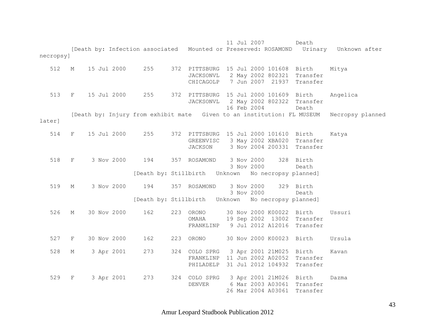11 Jul 2007 Death [Death by: Infection associated Mounted or Preserved: ROSAMOND Urinary Unknown after necropsy] 512 M 15 Jul 2000 255 372 PITTSBURG 15 Jul 2000 101608 Birth Mitya JACKSONVL 2 May 2002 802321 Transfer CHICAGOLP 7 Jun 2007 21937 Transfer 513 F 15 Jul 2000 255 372 PITTSBURG 15 Jul 2000 101609 Birth Angelica JACKSONVL 2 May 2002 802322 Transfer 16 Feb 2004 Death [Death by: Injury from exhibit mate Given to an institution: FL MUSEUM Necropsy planned later] 514 F 15 Jul 2000 255 372 PITTSBURG 15 Jul 2000 101610 Birth Katya GREENVISC 3 May 2002 XBA020 Transfer JACKSON 3 Nov 2004 200331 Transfer 518 F 3 Nov 2000 194 357 ROSAMOND 3 Nov 2000 328 Birth 3 Nov 2000 Death [Death by: Stillbirth Unknown No necropsy planned] 519 M 3 Nov 2000 194 357 ROSAMOND 3 Nov 2000 329 Birth 3 Nov 2000 Death [Death by: Stillbirth Unknown No necropsy planned] 526 M 30 Nov 2000 162 223 ORONO 30 Nov 2000 K00022 Birth Ussuri OMAHA 19 Sep 2002 13002 Transfer FRANKLINP 9 Jul 2012 A12016 Transfer 527 F 30 Nov 2000 162 223 ORONO 30 Nov 2000 K00023 Birth Ursula 528 M 3 Apr 2001 273 324 COLO SPRG 3 Apr 2001 21M025 Birth Kavan FRANKLINP 11 Jun 2002 A02052 Transfer PHILADELP 31 Jul 2012 104932 Transfer 529 F 3 Apr 2001 273 324 COLO SPRG 3 Apr 2001 21M026 Birth Dazma DENVER 6 Mar 2003 A03061 Transfer 26 Mar 2004 A03061 Transfer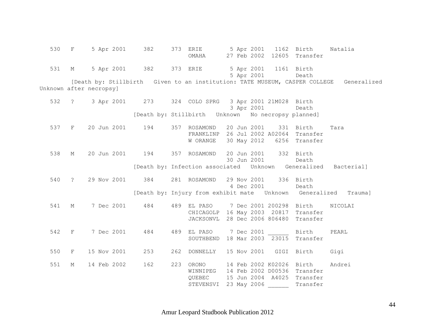|                         | 530 F       |             | 5 Apr 2001 | 382                     | 373 ERIE                                                 |  |             |                         | 5 Apr 2001 1162 Birth      | Natalia                                                                                |
|-------------------------|-------------|-------------|------------|-------------------------|----------------------------------------------------------|--|-------------|-------------------------|----------------------------|----------------------------------------------------------------------------------------|
|                         |             |             |            |                         | OMAHA                                                    |  |             |                         | 27 Feb 2002 12605 Transfer |                                                                                        |
|                         | 531 M       |             |            | 5 Apr 2001 382 373 ERIE |                                                          |  |             | 5 Apr 2001 1161 Birth   |                            |                                                                                        |
|                         |             |             |            |                         |                                                          |  |             | 5 Apr 2001              | Death                      |                                                                                        |
|                         |             |             |            |                         |                                                          |  |             |                         |                            | [Death by: Stillbirth Given to an institution: TATE MUSEUM, CASPER COLLEGE Generalized |
| Unknown after necropsy] |             |             |            |                         |                                                          |  |             |                         |                            |                                                                                        |
|                         |             |             |            |                         |                                                          |  |             |                         |                            |                                                                                        |
|                         | 532 ?       |             |            |                         | 3 Apr 2001 273 324 COLO SPRG 3 Apr 2001 21M028 Birth     |  |             |                         |                            |                                                                                        |
|                         |             |             |            |                         |                                                          |  |             | 3 Apr 2001              | Death                      |                                                                                        |
|                         |             |             |            |                         | [Death by: Stillbirth    Unknown    No necropsy planned] |  |             |                         |                            |                                                                                        |
|                         |             |             |            |                         |                                                          |  |             |                         |                            |                                                                                        |
|                         | 537 F       | 20 Jun 2001 |            | 194                     | 357 ROSAMOND                                             |  |             | 20 Jun 2001 331 Birth   |                            | Tara                                                                                   |
|                         |             |             |            |                         | FRANKLINP 26 Jul 2002 A02064 Transfer                    |  |             |                         |                            |                                                                                        |
|                         |             |             |            |                         | W ORANGE                                                 |  | 30 May 2012 |                         | 6256 Transfer              |                                                                                        |
|                         |             |             |            |                         |                                                          |  |             |                         |                            |                                                                                        |
| 538                     | $\mathbb M$ |             |            | 20 Jun 2001 194         | 357 ROSAMOND                                             |  |             | 20 Jun 2001 332 Birth   |                            |                                                                                        |
|                         |             |             |            |                         |                                                          |  |             | 30 Jun 2001             | Death                      |                                                                                        |
|                         |             |             |            |                         |                                                          |  |             |                         |                            | [Death by: Infection associated Unknown Generalized Bacterial]                         |
|                         |             |             |            |                         |                                                          |  |             |                         |                            |                                                                                        |
| 540                     | $\ddot{?}$  | 29 Nov 2001 |            | 384                     | 281 ROSAMOND 29 Nov 2001 336 Birth                       |  |             |                         |                            |                                                                                        |
|                         |             |             |            |                         |                                                          |  | 4 Dec 2001  |                         | Death                      |                                                                                        |
|                         |             |             |            |                         |                                                          |  |             |                         |                            | [Death by: Injury from exhibit mate  Unknown  Generalized  Trauma]                     |
|                         |             |             |            |                         |                                                          |  |             |                         |                            |                                                                                        |
| 541                     | M           | 7 Dec 2001  |            | 484                     | 489 EL PASO                                              |  |             | 7 Dec 2001 200298 Birth |                            | NICOLAI                                                                                |
|                         |             |             |            |                         | CHICAGOLP 16 May 2003 20817 Transfer                     |  |             |                         |                            |                                                                                        |
|                         |             |             |            |                         | JACKSONVL 28 Dec 2006 806480 Transfer                    |  |             |                         |                            |                                                                                        |
|                         |             |             |            |                         |                                                          |  |             |                         |                            |                                                                                        |
| 542                     | $F$ and $F$ | 7 Dec 2001  |            | 484                     | 489 EL PASO 7 Dec 2001 Birth                             |  |             |                         |                            | PEARL                                                                                  |
|                         |             |             |            |                         | SOUTHBEND 18 Mar 2003 $\overline{23015}$ Transfer        |  |             |                         |                            |                                                                                        |
|                         |             |             |            |                         |                                                          |  |             |                         |                            |                                                                                        |
| 550 F                   |             | 15 Nov 2001 |            | 253                     | 262 DONNELLY 15 Nov 2001 GIGI Birth                      |  |             |                         |                            | Gigi                                                                                   |
| 551                     | М           | 14 Feb 2002 |            | 162                     | 223 ORONO                                                |  |             |                         | 14 Feb 2002 K02026 Birth   | Andrei                                                                                 |
|                         |             |             |            |                         | WINNIPEG 14 Feb 2002 D00536 Transfer                     |  |             |                         |                            |                                                                                        |
|                         |             |             |            |                         | QUEBEC                                                   |  |             |                         | 15 Jun 2004 A4025 Transfer |                                                                                        |
|                         |             |             |            |                         | STEVENSVI                                                |  | 23 May 2006 |                         | Transfer                   |                                                                                        |
|                         |             |             |            |                         |                                                          |  |             |                         |                            |                                                                                        |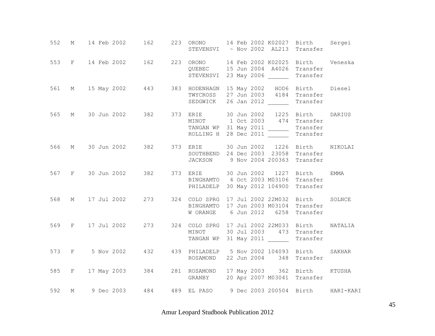| 552 |       | M 14 Feb 2002 162     |  |          | 223 ORONO 14 Feb 2002 K02027 Birth Sergei<br>STEVENSVI ~ Nov 2002 AL213 Transfer                                                                                          |
|-----|-------|-----------------------|--|----------|---------------------------------------------------------------------------------------------------------------------------------------------------------------------------|
|     |       |                       |  |          | 553 F 14 Feb 2002 162 223 ORONO 14 Feb 2002 K02025 Birth Veneska<br>QUEBEC 15 Jun 2004 A4026 Transfer<br>STEVENSVI 23 May 2006 ______ Transfer                            |
| 561 |       |                       |  | SEDGWICK | M 15 May 2002 443 383 HODENHAGN 15 May 2002 HOD6 Birth Diesel<br>TWYCROSS 27 Jun 2003 4184 Transfer<br>26 Jan 2012<br>Transfer                                            |
| 565 |       |                       |  |          | M 30 Jun 2002 382 373 ERIE 30 Jun 2002 1225 Birth DARIUS<br>MINOT 1 Oct 2003 474 Transfer<br>TANGAN WP 31 May 2011 Transfer<br>ROLLING H 28 Dec 2011 Transfer<br>Transfer |
| 566 |       |                       |  |          | M 30 Jun 2002 382 373 ERIE 30 Jun 2002 1226 Birth NIKOLAI<br>SOUTHBEND 24 Dec 2003 23058 Transfer<br>JACKSON 9 Nov 2004 200363 Transfer                                   |
|     |       |                       |  |          | 567 F 30 Jun 2002 382 373 ERIE 30 Jun 2002 1227 Birth EMMA<br>BINGHAMTO 4 Oct 2003 M03106 Transfer<br>PHILADELP 30 May 2012 104900 Transfer                               |
| 568 |       |                       |  |          | M 17 Jul 2002 273 324 COLO SPRG 17 Jul 2002 22M032 Birth<br>SOLNCE<br>BINGHAMTO 17 Jun 2003 M03104 Transfer<br>W ORANGE 6 Jun 2012 6258 Transfer                          |
| 569 |       |                       |  |          | F 17 Jul 2002 273 324 COLO SPRG 17 Jul 2002 22M033 Birth<br>NATALIA<br>MINOT 30 Jul 2003 473 Transfer<br>TANGAN WP 31 May 2011 ______<br>Transfer                         |
|     | 573 F |                       |  |          | 5 Nov 2002 432 439 PHILADELP 5 Nov 2002 104093 Birth SAKHAR<br>ROSAMOND 22 Jun 2004 348 Transfer                                                                          |
|     |       | 585 F 17 May 2003 384 |  |          | 281 ROSAMOND 17 May 2003 362 Birth KTUSHA<br>GRANBY 20 Apr 2007 M03041 Transfer                                                                                           |
| 592 |       |                       |  |          | M 9 Dec 2003 484 489 EL PASO 9 Dec 2003 200504 Birth HARI-KARI                                                                                                            |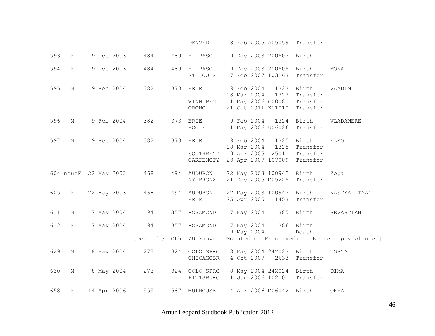|     |                           |                       |            | DENVER                  | 18 Feb 2005 A05059 Transfer                                                                                                             |                                                                                           |
|-----|---------------------------|-----------------------|------------|-------------------------|-----------------------------------------------------------------------------------------------------------------------------------------|-------------------------------------------------------------------------------------------|
| 593 | $\mathbf{F}$              | 9 Dec 2003            | 484<br>489 | EL PASO                 | 9 Dec 2003 200503 Birth                                                                                                                 |                                                                                           |
| 594 | $\mathbf{F}$              | 9 Dec 2003            | 484        | ST LOUIS                | 489 EL PASO 9 Dec 2003 200505<br>17 Feb 2007 103263                                                                                     | Birth<br>MONA<br>Transfer                                                                 |
| 595 | М                         | 9 Feb 2004            | 382        | 373 ERIE<br>ORONO       | 9 Feb 2004 1323 Birth<br>18 Mar 2004 1323<br>WINNIPEG 11 May 2006 G00081 Transfer<br>21 Oct 2011 K11010 Transfer                        | VAADIM<br>Transfer                                                                        |
| 596 | М                         | 9 Feb 2004            | 382        | HOGLE                   | 373 ERIE 9 Feb 2004 1324 Birth<br>11 May 2006 U06026 Transfer                                                                           | VLADAMERE                                                                                 |
| 597 | М                         | 9 Feb 2004            | 382        | 373 ERIE                | 9 Feb 2004 1325 Birth<br>18 Mar 2004   1325   Transfer<br>SOUTHBEND 19 Apr 2005 25011 Transfer<br>GARDENCTY 23 Apr 2007 107009 Transfer | <b>ELMO</b>                                                                               |
|     |                           | 604 neutF 22 May 2003 | 468        | 494 AUDUBON<br>NY BRONX | 22 May 2003 100942 Birth<br>21 Dec 2005 M05225 Transfer                                                                                 | Zoya                                                                                      |
|     | 605 F                     | 22 May 2003           | 468        | 494 AUDUBON<br>ERIE     | 25 Apr 2005 1453 Transfer                                                                                                               | 22 May 2003 100943 Birth NASTYA 'TYA'                                                     |
| 611 | $\mathop{\rm M}\nolimits$ | 7 May 2004            | 194        | 357 ROSAMOND            | 7 May 2004                                                                                                                              | 385 Birth<br>SEVASTIAN                                                                    |
| 612 | F                         | 7 May 2004            | 194        | 357 ROSAMOND            | 7 May 2004<br>9 May 2004                                                                                                                | 386 Birth<br>Death<br>[Death by: Other/Unknown Mounted or Preserved: No necropsy planned] |
| 629 | М                         | 8 May 2004            | 273        | CHICAGOBR               | 324 COLO SPRG 8 May 2004 24M023 Birth<br>4 Oct 2007 2633 Transfer                                                                       | TOSYA                                                                                     |
| 630 | М                         | 8 May 2004            | 273        |                         | 324 COLO SPRG 8 May 2004 24M024 Birth<br>PITTSBURG 11 Jun 2006 102101 Transfer                                                          | DIMA                                                                                      |
| 658 | F                         | 14 Apr 2006           | 555        | 587 MULHOUSE            | 14 Apr 2006 M06042 Birth                                                                                                                | OKHA                                                                                      |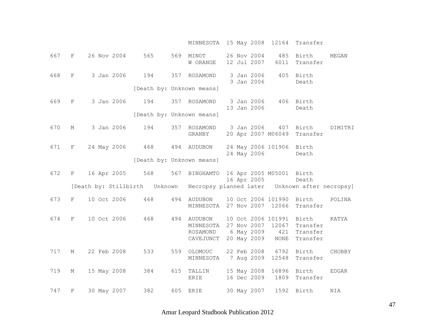MINNESOTA 15 May 2008 12164 Transfer

| 667 | F           | 26 Nov 2004 | 565                           |     | 569 MINOT<br>W ORANGE                                               |  | 26 Nov 2004<br>12 Jul 2007 | 6011                               | 485 Birth<br>Transfer                                        | MEGAN        |
|-----|-------------|-------------|-------------------------------|-----|---------------------------------------------------------------------|--|----------------------------|------------------------------------|--------------------------------------------------------------|--------------|
| 668 | $\mathbf F$ | 3 Jan 2006  | 194                           |     | 357 ROSAMOND                                                        |  | 3 Jan 2006<br>3 Jan 2006   |                                    | 405 Birth<br>Death                                           |              |
|     |             |             | [Death by: Unknown means]     |     |                                                                     |  |                            |                                    |                                                              |              |
| 669 | F           | 3 Jan 2006  | 194                           |     | 357 ROSAMOND                                                        |  | 13 Jan 2006                | 3 Jan 2006 406 Birth               | Death                                                        |              |
|     |             |             | [Death by: Unknown means]     |     |                                                                     |  |                            |                                    |                                                              |              |
| 670 | М           | 3 Jan 2006  | 194                           |     | 357 ROSAMOND<br>GRANBY                                              |  | 3 Jan 2006                 | 20 Apr 2007 M06049                 | 407 Birth<br>Transfer                                        | DIMITRI      |
| 671 | F           | 24 May 2006 | 468                           |     | 494 AUDUBON                                                         |  | 24 May 2006                | 24 May 2006 101906 Birth           | Death                                                        |              |
|     |             |             | [Death by: Unknown means]     |     |                                                                     |  |                            |                                    |                                                              |              |
| 672 | $F -$       | 16 Apr 2005 | 568                           | 567 | BINGHAMTO 16 Apr 2005 M05001 Birth                                  |  | 16 Apr 2005                |                                    | Death                                                        |              |
|     |             |             | [Death by: Stillbirth Unknown |     | Necropsy planned later  Unknown after necropsy]                     |  |                            |                                    |                                                              |              |
| 673 | F           | 10 Oct 2006 | 468                           |     | 494 AUDUBON<br>MINNESOTA 27 Nov 2007 12066                          |  |                            |                                    | 10 Oct 2006 101990 Birth<br>Transfer                         | POLINA       |
| 674 | F           | 10 Oct 2006 | 468                           |     | 494 AUDUBON<br>MINNESOTA 27 Nov 2007 12067<br>ROSAMOND<br>CAVEJUNCT |  |                            | 6 May 2009 421<br>20 May 2009 NONE | 10 Oct 2006 101991 Birth<br>Transfer<br>Transfer<br>Transfer | KATYA        |
| 717 | М           | 22 Feb 2008 | 533                           |     | 559 OLOMOUC<br>MINNESOTA                                            |  |                            |                                    | 22 Feb 2008 6792 Birth<br>7 Aug 2009 12548 Transfer          | CHOBBY       |
| 719 | М           | 15 May 2008 | 384                           |     | 615 TALLIN<br><b>ERIE</b>                                           |  |                            |                                    | 15 May 2008 16896 Birth<br>16 Dec 2009 1809 Transfer         | <b>EDGAR</b> |
| 747 | $\mathbf F$ | 30 May 2007 | 382                           |     | 605 ERIE                                                            |  | 30 May 2007                |                                    | 1592 Birth                                                   | NIA          |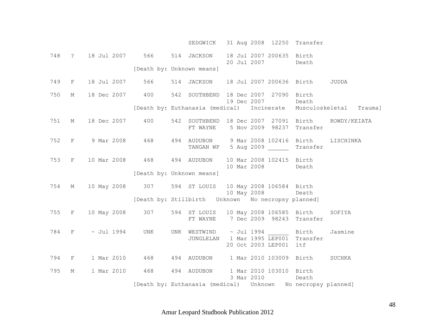|     |             |                                                                          |                           | SEDGWICK 31 Aug 2008 12250 Transfer                                |  |                                               |       |                                                                    |
|-----|-------------|--------------------------------------------------------------------------|---------------------------|--------------------------------------------------------------------|--|-----------------------------------------------|-------|--------------------------------------------------------------------|
|     |             | 748 ? 18 Jul 2007 566 514 JACKSON                                        |                           |                                                                    |  | 18 Jul 2007 200635 Birth<br>20 Jul 2007 Death |       |                                                                    |
|     |             |                                                                          | [Death by: Unknown means] |                                                                    |  |                                               |       |                                                                    |
|     |             | 749 F 18 Jul 2007 566 514 JACKSON 18 Jul 2007 200636 Birth JUDDA         |                           |                                                                    |  |                                               |       |                                                                    |
|     |             | 750 M 18 Dec 2007 400 542 SOUTHBEND 18 Dec 2007 27090 Birth              |                           | 19 Dec 2007                                                        |  |                                               | Death |                                                                    |
|     |             |                                                                          |                           |                                                                    |  |                                               |       | [Death by: Euthanasia (medical) Incinerate Musculoskeletal Trauma] |
|     |             | 751 M 18 Dec 2007 400 542 SOUTHBEND 18 Dec 2007 27091 Birth ROWDY/KEIATA |                           | FT WAYNE 5 Nov 2009 98237 Transfer                                 |  |                                               |       |                                                                    |
|     |             | 752 F 9 Mar 2008 468 494 AUDUBON 9 Mar 2008 102416 Birth LISCHINKA       |                           | TANGAN WP 5 Aug 2009 Transfer                                      |  |                                               |       |                                                                    |
|     |             | 753 F 10 Mar 2008 468 494 AUDUBON 10 Mar 2008 102415 Birth               |                           |                                                                    |  | 10 Mar 2008 Death                             |       |                                                                    |
|     |             |                                                                          | [Death by: Unknown means] |                                                                    |  |                                               |       |                                                                    |
|     |             | 754 M 10 May 2008 307 594 ST LOUIS 10 May 2008 106584 Birth              |                           |                                                                    |  | 10 May 2008 Death                             |       |                                                                    |
|     |             |                                                                          |                           |                                                                    |  |                                               |       |                                                                    |
|     |             | 755 F 10 May 2008 307 594 ST LOUIS 10 May 2008 106585 Birth SOFIYA       |                           | FT WAYNE 7 Dec 2009 98243 Transfer                                 |  |                                               |       |                                                                    |
|     |             | 784 F ~ Jul 1994 UNK UNK WESTWIND ~ Jul 1994 Birth Jasmine               |                           | JUNGLELAN 1 Mar 1995 LEP001 Transfer                               |  | 20 Oct 2003 LEP001 ltf                        |       |                                                                    |
|     |             | 794 F 1 Mar 2010 468 494 AUDUBON 1 Mar 2010 103009 Birth SUCHKA          |                           |                                                                    |  |                                               |       |                                                                    |
| 795 | $\mathbb M$ | 1 Mar 2010   468   494   AUDUBON   1 Mar 2010   103010   Birth           |                           |                                                                    |  | 3 Mar 2010 Death                              |       |                                                                    |
|     |             |                                                                          |                           | [Death by: Euthanasia (medical)    Unknown    No necropsy planned] |  |                                               |       |                                                                    |

Amur Leopard Studbook Publication 2012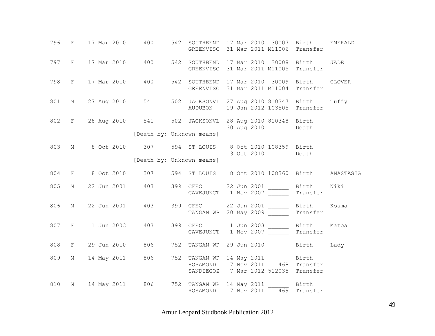|     | 796 F 17 Mar 2010                                                                        | 400                       |         |  | 542 SOUTHBEND 17 Mar 2010 30007 Birth<br>GREENVISC 31 Mar 2011 M11006 Transfer                                       |                         | <b>EMERALD</b> |
|-----|------------------------------------------------------------------------------------------|---------------------------|---------|--|----------------------------------------------------------------------------------------------------------------------|-------------------------|----------------|
|     | 797 F 17 Mar 2010                                                                        | 400                       |         |  | 542 SOUTHBEND 17 Mar 2010 30008 Birth<br>GREENVISC 31 Mar 2011 M11005 Transfer                                       |                         | JADE           |
| 798 | F 17 Mar 2010                                                                            | 400                       |         |  | 542 SOUTHBEND 17 Mar 2010 30009 Birth<br>GREENVISC 31 Mar 2011 M11004                                                | Transfer                | <b>CLOVER</b>  |
| 801 | M 27 Aug 2010 541                                                                        |                           | AUDUBON |  | 502 JACKSONVL 27 Aug 2010 810347 Birth Tuffy<br>19 Jan 2012 103505 Transfer                                          |                         |                |
|     | 802 F 28 Aug 2010 541 502 JACKSONVL 28 Aug 2010 810348 Birth                             |                           |         |  | 30 Aug 2010                                                                                                          | Death                   |                |
|     |                                                                                          | [Death by: Unknown means] |         |  |                                                                                                                      |                         |                |
| 803 | M 8 Oct 2010 307 594 ST LOUIS 8 Oct 2010 108359 Birth                                    |                           |         |  | 13 Oct 2010 Death                                                                                                    |                         |                |
|     |                                                                                          | [Death by: Unknown means] |         |  |                                                                                                                      |                         |                |
| 804 | F 8 Oct 2010 307 594 ST LOUIS 8 Oct 2010 108360 Birth ANASTASIA                          |                           |         |  |                                                                                                                      |                         |                |
| 805 | M 22 Jun 2001                                                                            | 403                       |         |  | 399 CFEC 22 Jun 2001 _______ Birth Niki<br>CAVEJUNCT 1 Nov 2007 ________ Transfer                                    |                         |                |
| 806 | M 22 Jun 2001                                                                            | 403                       |         |  |                                                                                                                      | Birth Kosma<br>Transfer |                |
| 807 | F 1 Jun 2003                                                                             | 403                       |         |  |                                                                                                                      | Birth<br>Transfer       | Matea          |
| 808 | F 29 Jun 2010 806                                                                        |                           |         |  | 752 TANGAN WP 29 Jun 2010 Birth Lady                                                                                 |                         |                |
| 809 | M 14 May 2011 806                                                                        |                           |         |  | 752 TANGAN WP 14 May 2011 ________ Birth<br>ROSAMOND 7 Nov 2011 468 Transfer<br>SANDIEGOZ 7 Mar 2012 512035 Transfer |                         |                |
| 810 | M 14 May 2011 806 752 TANGAN WP 14 May 2011 69 Birth<br>ROSAMOND 7 Nov 2011 469 Transfer |                           |         |  |                                                                                                                      |                         |                |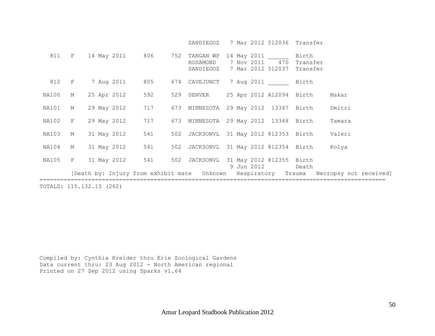SANDIEGOZ 7 Mar 2012 512036 Transfer

|                          |                     |  |                         |  | 811 F 14 May 2011 806 752 TANGAN WP 14 May 2011<br>ROSAMOND<br>SANDIEGOZ 7 Mar 2012 512037 Transfer |  |  |  |                  | Birth<br>7 Nov 2011 470 Transfer |                                                                                           |  |
|--------------------------|---------------------|--|-------------------------|--|-----------------------------------------------------------------------------------------------------|--|--|--|------------------|----------------------------------|-------------------------------------------------------------------------------------------|--|
|                          |                     |  |                         |  | 812 F 7 Aug 2011 805 674 CAVEJUNCT 7 Aug 2011 Birth                                                 |  |  |  |                  |                                  |                                                                                           |  |
|                          | NA100 M 25 Apr 2012 |  | 592                     |  | 529 DENVER 25 Apr 2012 A12094 Birth                                                                 |  |  |  |                  |                                  | Makar                                                                                     |  |
|                          |                     |  |                         |  | NA101 M 29 May 2012 717 673 MINNESOTA 29 May 2012 13347 Birth                                       |  |  |  |                  |                                  | Dmitri                                                                                    |  |
|                          |                     |  |                         |  | NA102 F 29 May 2012 717 673 MINNESOTA 29 May 2012 13348 Birth                                       |  |  |  |                  |                                  | Tamara                                                                                    |  |
|                          | NA103 M 31 May 2012 |  | 541                     |  | 502 JACKSONVL 31 May 2012 812353 Birth Valeri                                                       |  |  |  |                  |                                  |                                                                                           |  |
|                          |                     |  | NA104 M 31 May 2012 541 |  | 502 JACKSONVL 31 May 2012 812354 Birth Kolya                                                        |  |  |  |                  |                                  |                                                                                           |  |
|                          |                     |  | NA105 F 31 May 2012 541 |  | 502 JACKSONVL 31 May 2012 812355 Birth                                                              |  |  |  | 9 Jun 2012 Death |                                  |                                                                                           |  |
|                          |                     |  |                         |  |                                                                                                     |  |  |  |                  |                                  | [Death by: Injury from exhibit mate  Unknown  Respiratory  Trauma  Necropsy not received] |  |
| TOTALS: 115.132.15 (262) |                     |  |                         |  |                                                                                                     |  |  |  |                  |                                  |                                                                                           |  |

Compiled by: Cynthia Kreider thru Erie Zoological Gardens Data current thru: 23 Aug 2012 - North American regional Printed on 27 Sep 2012 using Sparks v1.64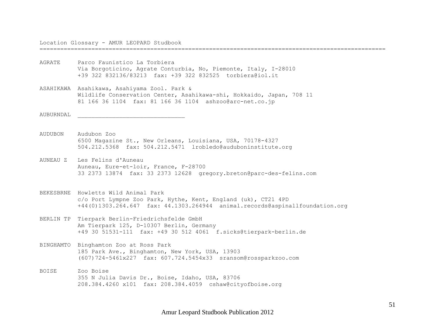Location Glossary - AMUR LEOPARD Studbook

====================================================================================================

- AGRATE Parco Faunistico La Torbiera Via Borgoticino, Agrate Conturbia, No, Piemonte, Italy, I-28010 +39 322 832136/83213 fax: +39 322 832525 torbiera@iol.it
- ASAHIKAWA Asahikawa, Asahiyama Zool. Park & Wildlife Conservation Center, Asahikawa-shi, Hokkaido, Japan, 708 11 81 166 36 1104 fax: 81 166 36 1104 ashzoo@arc-net.co.jp

AUBURNDAL \_\_\_\_\_\_\_\_\_\_\_\_\_\_\_\_\_\_\_\_\_\_\_\_\_\_\_\_\_\_\_

- AUDUBON Audubon Zoo 6500 Magazine St., New Orleans, Louisiana, USA, 70178-4327 504.212.5368 fax: 504.212.5471 lrobledo@auduboninstitute.org
- AUNEAU Z Les Felins d'Auneau Auneau, Eure-et-loir, France, F-28700 33 2373 13874 fax: 33 2373 12628 gregory.breton@parc-des-felins.com
- BEKESBRNE Howletts Wild Animal Park c/o Port Lympne Zoo Park, Hythe, Kent, England (uk), CT21 4PD +44(0)1303.264.647 fax: 44.1303.264944 animal.records@aspinallfoundation.org
- BERLIN TP Tierpark Berlin-Friedrichsfelde GmbH Am Tierpark 125, D-10307 Berlin, Germany +49 30 51531-111 fax: +49 30 512 4061 f.sicks@tierpark-berlin.de
- BINGHAMTO Binghamton Zoo at Ross Park 185 Park Ave., Binghamton, New York, USA, 13903 (607)724-5461x227 fax: 607.724.5454x33 sransom@rossparkzoo.com
- BOISE Zoo Boise 355 N Julia Davis Dr., Boise, Idaho, USA, 83706 208.384.4260 x101 fax: 208.384.4059 cshaw@cityofboise.org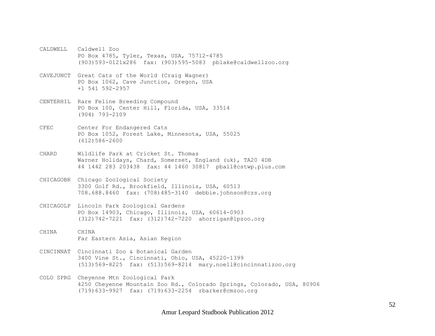- CALDWELL Caldwell Zoo PO Box 4785, Tyler, Texas, USA, 75712-4785 (903)593-0121x286 fax: (903)595-5083 pblake@caldwellzoo.org
- CAVEJUNCT Great Cats of the World (Craig Wagner) PO Box 1062, Cave Junction, Oregon, USA +1 541 592-2957
- CENTERHIL Rare Feline Breeding Compound PO Box 100, Center Hill, Florida, USA, 33514 (904) 793-2109
- CFEC Center For Endangered Cats PO Box 1052, Forest Lake, Minnesota, USA, 55025 (612)586-2600
- CHARD Wildlife Park at Cricket St. Thomas Warner Holidays, Chard, Somerset, England (uk), TA20 4DB 44 1442 283 203438 fax: 44 1460 30817 pball@cstwp.plus.com
- CHICAGOBR Chicago Zoological Society 3300 Golf Rd., Brookfield, Illinois, USA, 60513 708.688.8460 fax: (708)485-3140 debbie.johnson@czs.org
- CHICAGOLP Lincoln Park Zoological Gardens PO Box 14903, Chicago, Illinois, USA, 60614-0903 (312)742-7221 fax: (312)742-7220 ahorrigan@lpzoo.org
- CHINA CHINA Far Eastern Asia, Asian Region
- CINCINNAT Cincinnati Zoo & Botanical Garden 3400 Vine St., Cincinnati, Ohio, USA, 45220-1399 (513)569-8225 fax: (513)569-8214 mary.noell@cincinnatizoo.org
- COLO SPRG Cheyenne Mtn Zoological Park 4250 Cheyenne Mountain Zoo Rd., Colorado Springs, Colorado, USA, 80906 (719)633-9927 fax: (719)633-2254 rbarker@cmzoo.org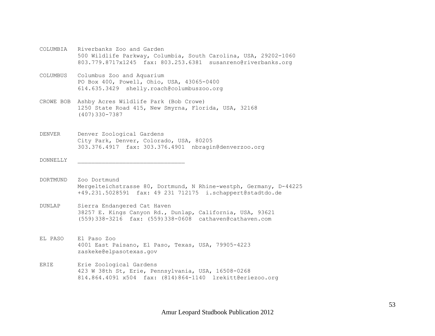- COLUMBIA Riverbanks Zoo and Garden 500 Wildlife Parkway, Columbia, South Carolina, USA, 29202-1060 803.779.8717x1245 fax: 803.253.6381 susanreno@riverbanks.org
- COLUMBUS Columbus Zoo and Aquarium PO Box 400, Powell, Ohio, USA, 43065-0400 614.635.3429 shelly.roach@columbuszoo.org
- CROWE BOB Ashby Acres Wildlife Park (Bob Crowe) 1250 State Road 415, New Smyrna, Florida, USA, 32168 (407)330-7387
- DENVER Denver Zoological Gardens City Park, Denver, Colorado, USA, 80205 303.376.4917 fax: 303.376.4901 nbragin@denverzoo.org
- DONNELLY \_\_\_\_\_\_\_\_\_\_\_\_\_\_\_\_\_\_\_\_\_\_\_\_\_\_\_\_\_\_\_
- DORTMUND Zoo Dortmund Mergelteichstrasse 80, Dortmund, N Rhine-westph, Germany, D-44225 +49.231.5028591 fax: 49 231 712175 i.schappert@stadtdo.de
- DUNLAP Sierra Endangered Cat Haven 38257 E. Kings Canyon Rd., Dunlap, California, USA, 93621 (559)338-3216 fax: (559)338-0608 cathaven@cathaven.com
- EL PASO El Paso Zoo 4001 East Paisano, El Paso, Texas, USA, 79905-4223 zaskeke@elpasotexas.gov
- ERIE Erie Zoological Gardens 423 W 38th St, Erie, Pennsylvania, USA, 16508-0268 814.864.4091 x504 fax: (814)864-1140 lrekitt@eriezoo.org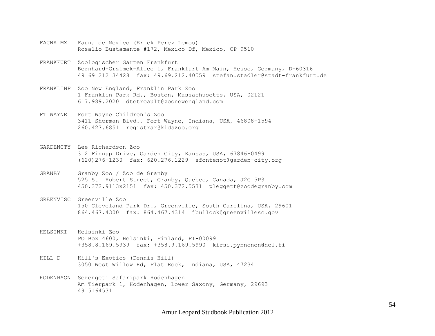- FAUNA MX Fauna de Mexico (Erick Perez Lemos) Rosalio Bustamante #172, Mexico Df, Mexico, CP 9510
- FRANKFURT Zoologischer Garten Frankfurt Bernhard-Grzimek-Allee 1, Frankfurt Am Main, Hesse, Germany, D-60316 49 69 212 34428 fax: 49.69.212.40559 stefan.stadler@stadt-frankfurt.de
- FRANKLINP Zoo New England, Franklin Park Zoo 1 Franklin Park Rd., Boston, Massachusetts, USA, 02121 617.989.2020 dtetreault@zoonewengland.com
- FT WAYNE Fort Wayne Children's Zoo 3411 Sherman Blvd., Fort Wayne, Indiana, USA, 46808-1594 260.427.6851 registrar@kidszoo.org
- GARDENCTY Lee Richardson Zoo 312 Finnup Drive, Garden City, Kansas, USA, 67846-0499 (620)276-1230 fax: 620.276.1229 sfontenot@garden-city.org
- GRANBY Granby Zoo / Zoo de Granby 525 St. Hubert Street, Granby, Quebec, Canada, J2G 5P3 450.372.9113x2151 fax: 450.372.5531 pleggett@zoodegranby.com
- GREENVISC Greenville Zoo 150 Cleveland Park Dr., Greenville, South Carolina, USA, 29601 864.467.4300 fax: 864.467.4314 jbullock@greenvillesc.gov
- HELSINKI Helsinki Zoo PO Box 4600, Helsinki, Finland, FI-00099 +358.8.169.5939 fax: +358.9.169.5990 kirsi.pynnonen@hel.fi
- HILL D Hill's Exotics (Dennis Hill) 3050 West Willow Rd, Flat Rock, Indiana, USA, 47234
- HODENHAGN Serengeti Safaripark Hodenhagen Am Tierpark 1, Hodenhagen, Lower Saxony, Germany, 29693 49 5164531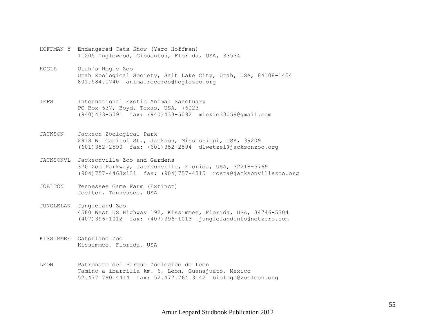- HOFFMAN Y Endangered Cats Show (Yaro Hoffman) 11205 Inglewood, Gibsonton, Florida, USA, 33534
- HOGLE Utah's Hogle Zoo Utah Zoological Society, Salt Lake City, Utah, USA, 84108-1454 801.584.1740 animalrecords@hoglezoo.org
- IEFS International Exotic Animal Sanctuary PO Box 637, Boyd, Texas, USA, 76023 (940)433-5091 fax: (940)433-5092 mickie33059@gmail.com
- JACKSON Jackson Zoological Park 2918 W. Capitol St., Jackson, Mississippi, USA, 39209 (601)352-2590 fax: (601)352-2594 dlwetzel@jacksonzoo.org
- JACKSONVL Jacksonville Zoo and Gardens 370 Zoo Parkway, Jacksonville, Florida, USA, 32218-5769 (904)757-4463x131 fax: (904)757-4315 rosta@jacksonvillezoo.org
- JOELTON Tennessee Game Farm (Extinct) Joelton, Tennessee, USA
- JUNGLELAN Jungleland Zoo 4580 West US Highway 192, Kissimmee, Florida, USA, 34746-5304 (407)396-1012 fax: (407)396-1013 junglelandinfo@netzero.com
- KISSIMMEE Gatorland Zoo Kissimmee, Florida, USA
- LEON Patronato del Parque Zoologico de Leon Camino a ibarrilla km. 6, León, Guanajuato, Mexico 52.477 790.4414 fax: 52.477.764.3142 biologo@zooleon.org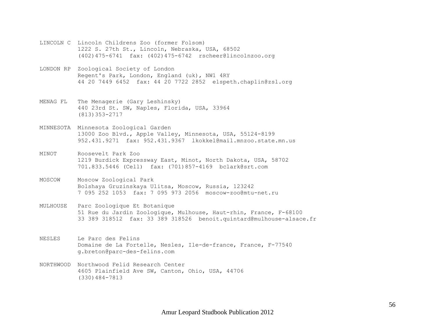- LINCOLN C Lincoln Childrens Zoo (former Folsom) 1222 S. 27th St., Lincoln, Nebraska, USA, 68502 (402)475-6741 fax: (402)475-6742 rscheer@lincolnzoo.org
- LONDON RP Zoological Society of London Regent's Park, London, England (uk), NW1 4RY 44 20 7449 6452 fax: 44 20 7722 2852 elspeth.chaplin@zsl.org
- MENAG FL The Menagerie (Gary Leshinsky) 440 23rd St. SW, Naples, Florida, USA, 33964 (813)353-2717
- MINNESOTA Minnesota Zoological Garden 13000 Zoo Blvd., Apple Valley, Minnesota, USA, 55124-8199 952.431.9271 fax: 952.431.9367 lkokkel@mail.mnzoo.state.mn.us
- MINOT Roosevelt Park Zoo 1219 Burdick Expressway East, Minot, North Dakota, USA, 58702 701.833.5446 (Cell) fax: (701)857-4169 bclark@srt.com
- MOSCOW Moscow Zoological Park Bolshaya Gruzinskaya Ulitsa, Moscow, Russia, 123242 7 095 252 1053 fax: 7 095 973 2056 moscow-zoo@mtu-net.ru
- MULHOUSE Parc Zoologique Et Botanique 51 Rue du Jardin Zoologique, Mulhouse, Haut-rhin, France, F-68100 33 389 318512 fax: 33 389 318526 benoit.quintard@mulhouse-alsace.fr
- NESLES Le Parc des Felins Domaine de La Fortelle, Nesles, Ile-de-france, France, F-77540 g.breton@parc-des-felins.com
- NORTHWOOD Northwood Felid Research Center 4605 Plainfield Ave SW, Canton, Ohio, USA, 44706 (330)484-7813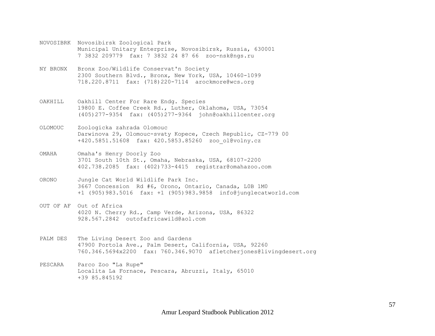- NOVOSIBRK Novosibirsk Zoological Park Municipal Unitary Enterprise, Novosibirsk, Russia, 630001 7 3832 209779 fax: 7 3832 24 87 66 zoo-nsk@ngs.ru
- NY BRONX Bronx Zoo/Wildlife Conservat'n Society 2300 Southern Blvd., Bronx, New York, USA, 10460-1099 718.220.8711 fax: (718)220-7114 arockmore@wcs.org
- OAKHILL Oakhill Center For Rare Endg. Species 19800 E. Coffee Creek Rd., Luther, Oklahoma, USA, 73054 (405)277-9354 fax: (405)277-9364 john@oakhillcenter.org
- OLOMOUC Zoologicka zahrada Olomouc Darwinova 29, Olomouc-svaty Kopece, Czech Republic, CZ-779 00 +420.5851.51608 fax: 420.5853.85260 zoo\_ol@volny.cz
- OMAHA Omaha's Henry Doorly Zoo 3701 South 10th St., Omaha, Nebraska, USA, 68107-2200 402.738.2085 fax: (402)733-4415 registrar@omahazoo.com
- ORONO Jungle Cat World Wildlife Park Inc. 3667 Concession Rd #6, Orono, Ontario, Canada, L0B 1M0 +1 (905)983.5016 fax: +1 (905)983.9858 info@junglecatworld.com
- OUT OF AF Out of Africa 4020 N. Cherry Rd., Camp Verde, Arizona, USA, 86322 928.567.2842 outofafricawild@aol.com
- PALM DES The Living Desert Zoo and Gardens 47900 Portola Ave., Palm Desert, California, USA, 92260 760.346.5694x2200 fax: 760.346.9070 afletcherjones@livingdesert.org
- PESCARA Parco Zoo "La Rupe" Localita La Fornace, Pescara, Abruzzi, Italy, 65010 +39 85.845192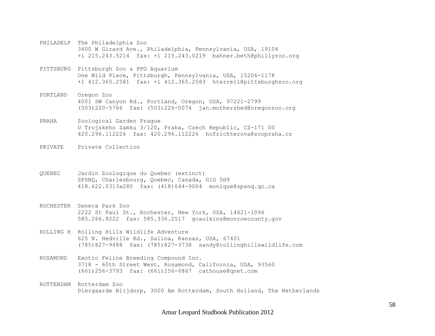- PHILADELP The Philadelphia Zoo 3400 W Girard Ave., Philadelphia, Pennsylvania, USA, 19104 +1 215.243.5214 fax: +1 215.243.0219 bahner.beth@phillyzoo.org
- PITTSBURG Pittsburgh Zoo & PPG Aquarium One Wild Place, Pittsburgh, Pennsylvania, USA, 15206-1178 +1 412.365.2581 fax: +1 412.365.2583 hterrell@pittsburghzoo.org
- PORTLAND Oregon Zoo 4001 SW Canyon Rd., Portland, Oregon, USA, 97221-2799 (503)220-5766 fax: (503)226-0074 jan.mothershed@oregonzoo.org
- PRAHA Zoological Garden Prague U Trojskeho Zamku 3/120, Praha, Czech Republic, CZ-171 00 420.296.112226 fax: 420.296.112226 hofrichterova@zoopraha.cz
- PRIVATE Private Collection
- QUEBEC Jardin Zoologique du Quebec (extinct) SPSNQ, Charlesbourg, Quebec, Canada, G1G 5H9 418.622.0313x280 fax: (418)644-9004 monique@spsnq.qc.ca
- ROCHESTER Seneca Park Zoo 2222 St Paul St., Rochester, New York, USA, 14621-1096 585.266.8222 fax: 585.336.2517 gcaulkins@monroecounty.gov
- ROLLING H Rolling Hills Wildlife Adventure 625 N. Hedville Rd., Salina, Kansas, USA, 67401 (785)827-9488 fax: (785)827-3738 sandy@rollinghillswildlife.com
- ROSAMOND Exotic Feline Breeding Compound Inc. 3718 - 60th Street West, Rosamond, California, USA, 93560 (661)256-3793 fax: (661)256-6867 cathouse@qnet.com
- ROTTERDAM Rotterdam Zoo Diergaarde Blijdorp, 3000 Am Rotterdam, South Holland, The Netherlands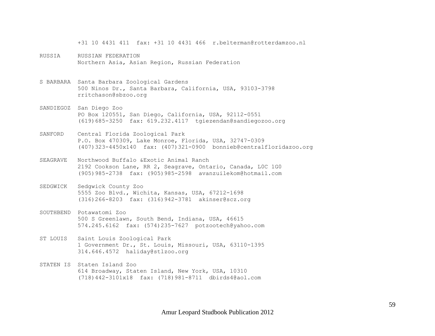+31 10 4431 411 fax: +31 10 4431 466 r.belterman@rotterdamzoo.nl

- RUSSIA RUSSIAN FEDERATION Northern Asia, Asian Region, Russian Federation
- S BARBARA Santa Barbara Zoological Gardens 500 Ninos Dr., Santa Barbara, California, USA, 93103-3798 rritchason@sbzoo.org
- SANDIEGOZ San Diego Zoo PO Box 120551, San Diego, California, USA, 92112-0551 (619)685-3250 fax: 619.232.4117 tgiezendan@sandiegozoo.org
- SANFORD Central Florida Zoological Park P.O. Box 470309, Lake Monroe, Florida, USA, 32747-0309 (407)323-4450x140 fax: (407)321-0900 bonnieb@centralfloridazoo.org
- SEAGRAVE Northwood Buffalo &Exotic Animal Ranch 2192 Cookson Lane, RR 2, Seagrave, Ontario, Canada, L0C 1G0 (905)985-2738 fax: (905)985-2598 avanzuilekom@hotmail.com
- SEDGWICK Sedgwick County Zoo 5555 Zoo Blvd., Wichita, Kansas, USA, 67212-1698 (316)266-8203 fax: (316)942-3781 akinser@scz.org
- SOUTHBEND Potawatomi Zoo 500 S Greenlawn, South Bend, Indiana, USA, 46615 574.245.6162 fax: (574)235-7627 potzootech@yahoo.com
- ST LOUIS Saint Louis Zoological Park 1 Government Dr., St. Louis, Missouri, USA, 63110-1395 314.646.4572 haliday@stlzoo.org
- STATEN IS Staten Island Zoo 614 Broadway, Staten Island, New York, USA, 10310 (718)442-3101x18 fax: (718)981-8711 dbirds4@aol.com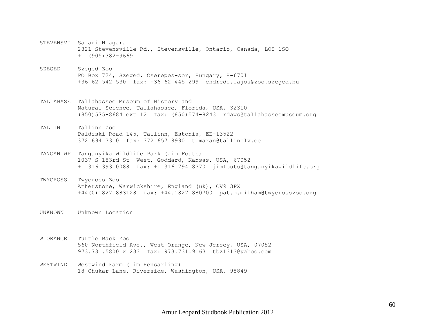- STEVENSVI Safari Niagara 2821 Stevensville Rd., Stevensville, Ontario, Canada, LOS 1SO +1 (905)382-9669
- SZEGED Szeged Zoo PO Box 724, Szeged, Cserepes-sor, Hungary, H-6701 +36 62 542 530 fax: +36 62 445 299 endredi.lajos@zoo.szeged.hu
- TALLAHASE Tallahassee Museum of History and Natural Science, Tallahassee, Florida, USA, 32310 (850)575-8684 ext 12 fax: (850)574-8243 rdaws@tallahasseemuseum.org
- TALLIN Tallinn Zoo Paldiski Road 145, Tallinn, Estonia, EE-13522 372 694 3310 fax: 372 657 8990 t.maran@tallinnlv.ee
- TANGAN WP Tanganyika Wildlife Park (Jim Fouts) 1037 S 183rd St West, Goddard, Kansas, USA, 67052 +1 316.393.0088 fax: +1 316.794.8370 jimfouts@tanganyikawildlife.org
- TWYCROSS Twycross Zoo Atherstone, Warwickshire, England (uk), CV9 3PX +44(0)1827.883128 fax: +44.1827.880700 pat.m.milham@twycrosszoo.org
- UNKNOWN Unknown Location

W ORANGE Turtle Back Zoo 560 Northfield Ave., West Orange, New Jersey, USA, 07052 973.731.5800 x 233 fax: 973.731.9163 tbz1313@yahoo.com

WESTWIND Westwind Farm (Jim Hensarling) 18 Chukar Lane, Riverside, Washington, USA, 98849